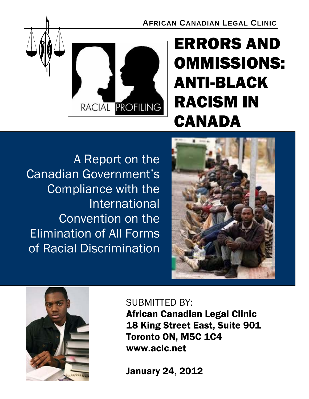**AFRICAN CANADIAN LEGAL CLINIC**



# ERRORS AND OMMISSIONS: ANTI-BLACK RACISM IN CANADA

A Report on the Canadian Government's Compliance with the International Convention on the Elimination of All Forms of Racial Discrimination





# SUBMITTED BY:

African Canadian Legal Clinic 18 King Street East, Suite 901 Toronto ON, M5C 1C4 www.aclc.net

January 24, 2012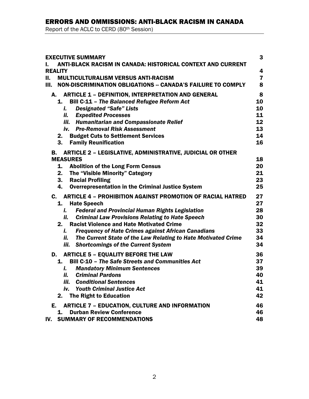# ERRORS AND OMMISSIONS: ANTI-BLACK RACISM IN CANADA

Report of the ACLC to CERD (80th Session)

| <b>EXECUTIVE SUMMARY</b><br><b>ANTI-BLACK RACISM IN CANADA: HISTORICAL CONTEXT AND CURRENT</b> | 3                       |
|------------------------------------------------------------------------------------------------|-------------------------|
| ı.<br><b>REALITY</b>                                                                           | 4                       |
| <b>MULTICULTURALISM VERSUS ANTI-RACISM</b><br>П.                                               | $\overline{\mathbf{z}}$ |
| NON-DISCRIMINATION OBLIGATIONS -- CANADA'S FAILURE TO COMPLY<br>Ш.                             | 8                       |
| <b>ARTICLE 1 - DEFINITION, INTERPRETATION AND GENERAL</b><br>А.                                | 8                       |
| <b>Bill C-11 - The Balanced Refugee Reform Act</b><br>1.                                       | 10                      |
| <b>Designated "Safe" Lists</b><br>i.                                                           | 10                      |
| ii. Expedited Processes                                                                        | 11                      |
| iii. Humanitarian and Compassionate Relief                                                     | 12                      |
| iv. Pre-Removal Risk Assessment                                                                | 13                      |
| 2. Budget Cuts to Settlement Services                                                          | 14                      |
| 3.<br><b>Family Reunification</b>                                                              | 16                      |
| <b>ARTICLE 2 - LEGISLATIVE, ADMINISTRATIVE, JUDICIAL OR OTHER</b><br>В.                        |                         |
| <b>MEASURES</b>                                                                                | 18                      |
| 1.<br><b>Abolition of the Long Form Census</b>                                                 | 20                      |
| The "Visible Minority" Category<br>2.                                                          | 21                      |
| <b>Racial Profiling</b><br>3.                                                                  | 23                      |
| <b>Overrepresentation in the Criminal Justice System</b><br>4.                                 | 25                      |
| <b>ARTICLE 4 - PROHIBITION AGAINST PROMOTION OF RACIAL HATRED</b><br>$\mathbf{c}$ .            | 27                      |
| <b>Hate Speech</b><br>1.                                                                       | 27                      |
| <b>Federal and Provincial Human Rights Legislation</b><br>i.                                   | 28                      |
| <b>Criminal Law Provisions Relating to Hate Speech</b><br>ii.                                  | 30                      |
| <b>Racist Violence and Hate Motivated Crime</b><br>2.                                          | 32                      |
| <b>Frequency of Hate Crimes against African Canadians</b><br>i.                                | 33                      |
| The Current State of the Law Relating to Hate Motivated Crime<br>ii.                           | 34                      |
| iii.<br><b>Shortcomings of the Current System</b>                                              | 34                      |
| D. ARTICLE 5 - EQUALITY BEFORE THE LAW                                                         | 36                      |
| <b>Bill C-10 - The Safe Streets and Communities Act</b><br>1.                                  | 37                      |
| <b>Mandatory Minimum Sentences</b><br>i.                                                       | 39                      |
| ii.<br><b>Criminal Pardons</b>                                                                 | 40                      |
| <b>Conditional Sentences</b><br>iii.                                                           | 41                      |
| <b>Youth Criminal Justice Act</b><br>iv.                                                       | 41                      |
| <b>The Right to Education</b><br>2.                                                            | 42                      |
| Е.<br><b>ARTICLE 7 - EDUCATION, CULTURE AND INFORMATION</b>                                    | 46                      |
| <b>Durban Review Conference</b><br>1.                                                          | 46                      |
| IV. SUMMARY OF RECOMMENDATIONS                                                                 | 48                      |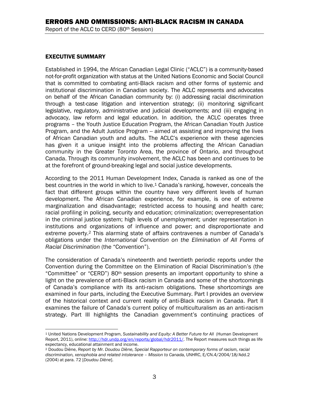#### EXECUTIVE SUMMARY

Established in 1994, the African Canadian Legal Clinic ("ACLC") is a community-based not-for-profit organization with status at the United Nations Economic and Social Council that is committed to combating anti-Black racism and other forms of systemic and institutional discrimination in Canadian society. The ACLC represents and advocates on behalf of the African Canadian community by: (i) addressing racial discrimination through a test-case litigation and intervention strategy; (ii) monitoring significant legislative, regulatory, administrative and judicial developments; and (iii) engaging in advocacy, law reform and legal education. In addition, the ACLC operates three programs – the Youth Justice Education Program, the African Canadian Youth Justice Program, and the Adult Justice Program -- aimed at assisting and improving the lives of African Canadian youth and adults. The ACLC's experience with these agencies has given it a unique insight into the problems affecting the African Canadian community in the Greater Toronto Area, the province of Ontario, and throughout Canada. Through its community involvement, the ACLC has been and continues to be at the forefront of ground-breaking legal and social justice developments.

According to the 2011 Human Development Index, Canada is ranked as one of the best countries in the world in which to live.<sup>1</sup> Canada's ranking, however, conceals the fact that different groups within the country have very different levels of human development. The African Canadian experience, for example, is one of extreme marginalization and disadvantage; restricted access to housing and health care; racial profiling in policing, security and education; criminalization; overrepresentation in the criminal justice system; high levels of unemployment; under representation in institutions and organizations of influence and power; and disproportionate and extreme poverty.2 This alarming state of affairs contravenes a number of Canada's obligations under the *International Convention on the Elimination of All Forms of Racial Discrimination* (the "Convention").

The consideration of Canada's nineteenth and twentieth periodic reports under the Convention during the Committee on the Elimination of Racial Discrimination's (the "Committee" or "CERD") 80th session presents an important opportunity to shine a light on the prevalence of anti-Black racism in Canada and some of the shortcomings of Canada's compliance with its anti-racism obligations. These shortcomings are examined in four parts, including the Executive Summary. Part I provides an overview of the historical context and current reality of anti-Black racism in Canada. Part II examines the failure of Canada's current policy of multiculturalism as an anti-racism strategy. Part III highlights the Canadian government's continuing practices of

<sup>1</sup> 1 United Nations Development Program, *Sustainability and Equity: A Better Future for All* (Human Development Report, 2011), online: http://hdr.undp.org/en/reports/global/hdr2011/. The Report measures such things as life expectancy, educational attainment and income.

<sup>2</sup> Doudou Diène, *Report by Mr. Doudou Diène, Special Rapporteur on contemporary forms of racism, racial discrimination, xenophobia and related intolerance – Mission to Canada,* UNHRC, E/CN.4/2004/18/Add.2 (2004) at para. 72 [*Doudou Diène*].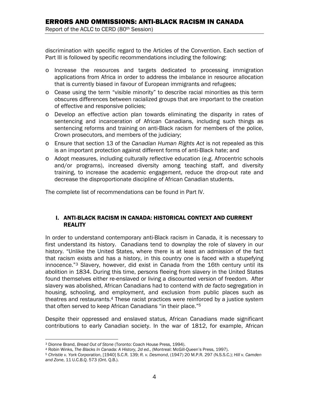discrimination with specific regard to the Articles of the Convention. Each section of Part III is followed by specific recommendations including the following:

- o Increase the resources and targets dedicated to processing immigration applications from Africa in order to address the imbalance in resource allocation that is currently biased in favour of European immigrants and refugees;
- o Cease using the term "visible minority" to describe racial minorities as this term obscures differences between racialized groups that are important to the creation of effective and responsive policies;
- o Develop an effective action plan towards eliminating the disparity in rates of sentencing and incarceration of African Canadians, including such things as sentencing reforms and training on anti-Black racism for members of the police, Crown prosecutors, and members of the judiciary;
- o Ensure that section 13 of the *Canadian Human Rights Act* is not repealed as this is an important protection against different forms of anti-Black hate; and
- o Adopt measures, including culturally reflective education (e.g. Afrocentric schools and/or programs), increased diversity among teaching staff, and diversity training, to increase the academic engagement, reduce the drop-out rate and decrease the disproportionate discipline of African Canadian students.

The complete list of recommendations can be found in Part IV.

#### I. ANTI-BLACK RACISM IN CANADA: HISTORICAL CONTEXT AND CURRENT REALITY

In order to understand contemporary anti-Black racism in Canada, it is necessary to first understand its history. Canadians tend to downplay the role of slavery in our history. "Unlike the United States, where there is at least an admission of the fact that racism exists and has a history, in this country one is faced with a stupefying innocence."3 Slavery, however, did exist in Canada from the 16th century until its abolition in 1834. During this time, persons fleeing from slavery in the United States found themselves either re-enslaved or living a discounted version of freedom. After slavery was abolished, African Canadians had to contend with *de facto* segregation in housing, schooling, and employment, and exclusion from public places such as theatres and restaurants.4 These racist practices were reinforced by a justice system that often served to keep African Canadians "in their place."5

Despite their oppressed and enslaved status, African Canadians made significant contributions to early Canadian society. In the war of 1812, for example, African

 $\overline{a}$ 

<sup>&</sup>lt;sup>3</sup> Dionne Brand, *Bread Out of Stone* (Toronto: Coach House Press, 1994).<br><sup>4</sup> Robin Winks, The Blacks In Canada: A History, 2d ed., (Montreal: McGill-Queen's Press, 1997).<br><sup>5</sup> Christie v. York Corporation, [1940] S.C.R. 1

*and Zone*, 11 U.C.B.Q. 573 (Ont. Q.B.).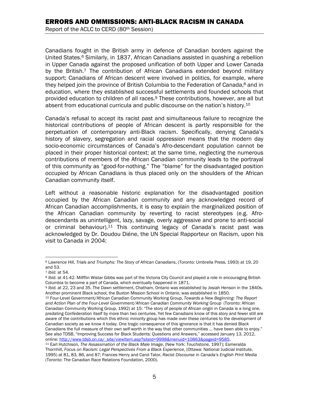Canadians fought in the British army in defence of Canadian borders against the United States.6 Similarly, in 1837, African Canadians assisted in quashing a rebellion in Upper Canada against the proposed unification of both Upper and Lower Canada by the British.<sup>7</sup> The contribution of African Canadians extended beyond military support; Canadians of African descent were involved in politics, for example, where they helped join the province of British Columbia to the Federation of Canada,<sup>8</sup> and in education, where they established successful settlements and founded schools that provided education to children of all races.9 These contributions, however, are all but absent from educational curricula and public discourse on the nation's history.<sup>10</sup>

Canada's refusal to accept its racist past and simultaneous failure to recognize the historical contributions of people of African descent is partly responsible for the perpetuation of contemporary anti-Black racism. Specifically, denying Canada's history of slavery, segregation and racial oppression means that the modern day socio-economic circumstances of Canada's Afro-descendant population cannot be placed in their proper historical context; at the same time, neglecting the numerous contributions of members of the African Canadian community leads to the portrayal of this community as "good-for-nothing." The "blame" for the disadvantaged position occupied by African Canadians is thus placed only on the shoulders of the African Canadian community itself.

Left without a reasonable historic explanation for the disadvantaged position occupied by the African Canadian community and any acknowledged record of African Canadian accomplishments, it is easy to explain the marginalized position of the African Canadian community by reverting to racist stereotypes (e.g. Afrodescendants as unintelligent, lazy, savage, overly aggressive and prone to anti-social or criminal behaviour).11 This continuing legacy of Canada's racist past was acknowledged by Dr. Doudou Diéne, the UN Special Rapporteur on Racism, upon his visit to Canada in 2004:

 $\overline{a}$ 6 Lawrence Hill, *Trials and Triumphs: The Story of African Canadians*, (Toronto: Umbrella Press, 1993) at 19, 20 and 53.

<sup>&</sup>lt;sup>7</sup> Ibid. at 54.<br><sup>8</sup> Ibid. at 41-42. Milfflin Wistar Gibbs was part of the Victoria City Council and played a role in encouraging British

Columbia to become a part of Canada, which eventually happened in 1871.<br><sup>9</sup> *Ibid.* at 22, 23 and 35. The Dawn settlement, Chatham, Ontario was established by Josiah Henson in the 1840s.<br>Another prominent Black school, the

<sup>&</sup>lt;sup>10</sup> Four-Level Government/African Canadian Community Working Group, Towards a New Beginning: The Report *and Action Plan of the Four-Level Government/African Canadian Community Working Group* (Toronto: African Canadian Community Working Group, 1992) at 15: "The story of people of African origin in Canada is a long one, predating Confederation itself by more than two centuries. Yet few Canadians know of this story and fewer still are aware of the contributions which this ethnic minority group has made over these centuries to the development of Canadian society as we know it today. One tragic consequence of this ignorance is that it has denied Black Canadians the full measure of their own self-worth in the way that other communities … have been able to enjoy." See also TDSB, "Improving Success for Black Students: Questions and Answers," accessed January 13, 2012, online: http://www.tdsb.on.ca/\_site/viewItem.asp?siteid=9998&menuid=10863&pageid=9585. 11 Earl Hutchison, *The Assassination of the Black Male Image*, (New York: Touchstone, 1997); Esmeralda

Thornhill, *Focus on Racism: Legal Perspectives From a Black Experience*, (Ottawa: National Judicial Institute, 1995) at 81, 83, 86, and 87; Frances Henry and Carol Tator, *Racist Discourse in Canada's English Print Media* (Toronto: The Canadian Race Relations Foundation, 2000).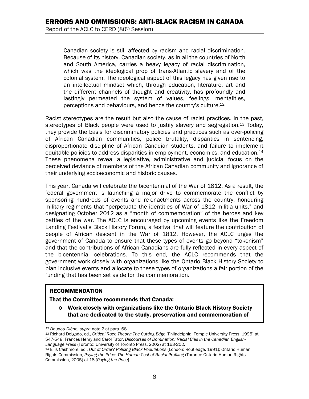Canadian society is still affected by racism and racial discrimination. Because of its history, Canadian society, as in all the countries of North and South America, carries a heavy legacy of racial discrimination, which was the ideological prop of trans-Atlantic slavery and of the colonial system. The ideological aspect of this legacy has given rise to an intellectual mindset which, through education, literature, art and the different channels of thought and creativity, has profoundly and lastingly permeated the system of values, feelings, mentalities, perceptions and behaviours, and hence the country's culture.12

Racist stereotypes are the result but also the cause of racist practices. In the past, stereotypes of Black people were used to justify slavery and segregation.13 Today, they provide the basis for discriminatory policies and practices such as over-policing of African Canadian communities, police brutality, disparities in sentencing, disproportionate discipline of African Canadian students, and failure to implement equitable policies to address disparities in employment, economics, and education.<sup>14</sup> These phenomena reveal a legislative, administrative and judicial focus on the perceived deviance of members of the African Canadian community and ignorance of their underlying socioeconomic and historic causes.

This year, Canada will celebrate the bicentennial of the War of 1812. As a result, the federal government is launching a major drive to commemorate the conflict by sponsoring hundreds of events and re-enactments across the country, honouring military regiments that "perpetuate the identities of War of 1812 militia units," and designating October 2012 as a "month of commemoration" of the heroes and key battles of the war. The ACLC is encouraged by upcoming events like the Freedom Landing Festival's Black History Forum, a festival that will feature the contribution of people of African descent in the War of 1812. However, the ACLC urges the government of Canada to ensure that these types of events go beyond "tokenism" and that the contributions of African Canadians are fully reflected in every aspect of the bicentennial celebrations. To this end, the ACLC recommends that the government work closely with organizations like the Ontario Black History Society to plan inclusive events and allocate to these types of organizations a fair portion of the funding that has been set aside for the commemoration.

#### RECOMMENDATION

 $\overline{\phantom{a}}$ 

That the Committee recommends that Canada:

o Work closely with organizations like the Ontario Black History Society that are dedicated to the study, preservation and commemoration of

<sup>&</sup>lt;sup>12</sup> Doudou Diène, supra note 2 at para. 68.<br><sup>13</sup> Richard Delgado, ed., *Critical Race Theory: The Cutting Edge* (Philadelphia: Temple University Press, 1995) at 547-548; Frances Henry and Carol Tator, *Discourses of Domination: Racial Bias in the Canadian English-*

Language Press (Toronto: University of Toronto Press, 2002) at 163-202.<br><sup>14</sup> Ellis Cashmore, ed., *Out of Order? Policing Black Populations* (London: Routledge, 1991); Ontario Human Rights Commission, *Paying the Price: The Human Cost of Racial Profiling* (Toronto: Ontario Human Rights Commission, 2005) at 18 [*Paying the Price*].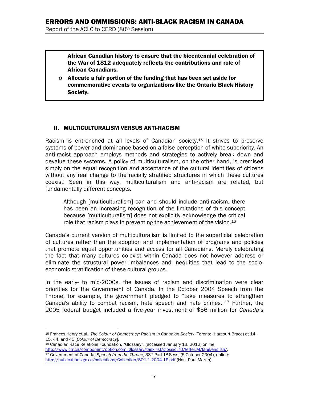African Canadian history to ensure that the bicentennial celebration of the War of 1812 adequately reflects the contributions and role of African Canadians.

 $\circ$  Allocate a fair portion of the funding that has been set aside for commemorative events to organizations like the Ontario Black History Society.

#### II. MULTICULTURALISM VERSUS ANTI-RACISM

Racism is entrenched at all levels of Canadian society.15 It strives to preserve systems of power and dominance based on a false perception of white superiority. An anti-racist approach employs methods and strategies to actively break down and devalue these systems. A policy of multiculturalism, on the other hand, is premised simply on the equal recognition and acceptance of the cultural identities of citizens without any real change to the racially stratified structures in which these cultures coexist. Seen in this way, multiculturalism and anti-racism are related, but fundamentally different concepts.

Although [multiculturalism] can and should include anti-racism, there has been an increasing recognition of the limitations of this concept because [multiculturalism] does not explicitly acknowledge the critical role that racism plays in preventing the achievement of the vision.<sup>16</sup>

Canada's current version of multiculturalism is limited to the superficial celebration of cultures rather than the adoption and implementation of programs and policies that promote equal opportunities and access for all Canadians. Merely celebrating the fact that many cultures co-exist within Canada does not however address or eliminate the structural power imbalances and inequities that lead to the socioeconomic stratification of these cultural groups.

In the early- to mid-2000s, the issues of racism and discrimination were clear priorities for the Government of Canada. In the October 2004 Speech from the Throne, for example, the government pledged to "take measures to strengthen Canada's ability to combat racism, hate speech and hate crimes."17 Further, the 2005 federal budget included a five-year investment of \$56 million for *Canada's*

 $\overline{a}$ 15 Frances Henry et al., *The Colour of Democracy: Racism in Canadian Society* (Toronto: Harcourt Brace) at 14, 15, 44, and 45 [*Colour of Democracy*].<br><sup>16</sup> Canadian Race Relations Foundation, "Glossary", (accessed January 13, 2012) online:

http://www.crr.ca/component/option,com\_glossary/task,list/glossid,70/letter,M/lang,english/. 17 Government of Canada, *Speech from the Throne*, 38th Parl 1st Sess, (5 October 2004), online: http://publications.gc.ca/collections/Collection/SO1-1-2004-1E.pdf (Hon. Paul Martin).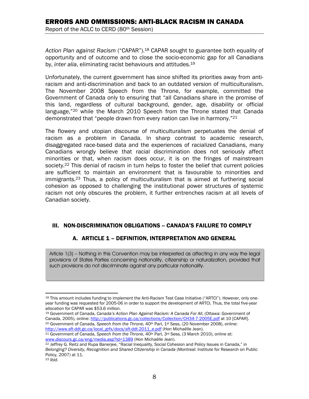*Action Plan against Racism* ("CAPAR").18 CAPAR sought to guarantee both equality of opportunity and of outcome and to close the socio-economic gap for all Canadians by, *inter alia*, eliminating racist behaviours and attitudes.19

Unfortunately, the current government has since shifted its priorities away from antiracism and anti-discrimination and back to an outdated version of multiculturalism. The November 2008 Speech from the Throne, for example, committed the Government of Canada only to ensuring that "all Canadians share in the promise of this land, regardless of cultural background, gender, age, disability or official language,"<sup>20</sup> while the March 2010 Speech from the Throne stated that Canada demonstrated that "people drawn from every nation can live in harmony."21

The flowery and utopian discourse of multiculturalism perpetuates the denial of racism as a problem in Canada. In sharp contrast to academic research, disaggregated race-based data and the experiences of racialized Canadians, many Canadians wrongly believe that racial discrimination does not seriously affect minorities or that, when racism does occur, it is on the fringes of mainstream society.<sup>22</sup> This denial of racism in turn helps to foster the belief that current policies are sufficient to maintain an environment that is favourable to minorities and immigrants.23 Thus, a policy of multiculturalism that is aimed at furthering social cohesion as opposed to challenging the institutional power structures of systemic racism not only obscures the problem, it further entrenches racism at all levels of Canadian society.

#### III. NON-DISCRIMINATION OBLIGATIONS -- CANADA'S FAILURE TO COMPLY

# A. ARTICLE 1 – DEFINITION, INTERPRETATION AND GENERAL

Article 1(3) – Nothing in this Convention may be interpreted as affecting in any way the legal provisions of States Parties concerning nationality, citizenship or naturalization, provided that such provisions do not discriminate against any particular nationality.

<sup>19</sup> Government of Canada, *Canada's Action Plan Against Racism: A Canada For All*, (Ottawa: Government of<br>Canada, 2005), online: http://publications.gc.ca/collections/Collection/CH34-7-2005E.pdf at 10 [CAPAR]. <sup>20</sup> Government of Canada, Speech from the Throne, 40<sup>th</sup> Parl, 1<sup>st</sup> Sess, (20 November 2008), online:

http://www.sft-ddt.gc.ca/local\_grfx/docs/sft-ddt-2011\_e.pdf (Hon Michaëlle Jean).<br><sup>21</sup> Government of Canada, *Speech from the Throne*, 40<sup>th</sup> Parl, 3<sup>rd</sup> Sess, (3 March 2010), online at:<br>www.discours.gc.ca/eng/media.asp?id

<sup>1</sup> 18 This amount includes funding to implement the Anti-Racism Test Case Initiative ("ARTCI"). However, only oneyear funding was requested for 2005-06 in order to support the development of ARTCI. Thus, the total five-year allocation for CAPAR was \$53.6 million.

<sup>&</sup>lt;sup>22</sup> Jeffrey G. Reitz and Rupa Banerjee, "Racial Inequality, Social Cohesion and Policy Issues in Canada," in *Belonging? Diversity, Recognition and Shared Citizenship in Canada* (Montreal: Institute for Research on Public Policy, 2007) at 11.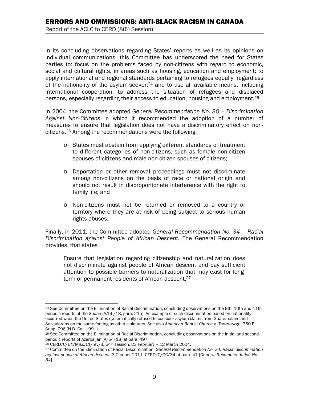In its concluding observations regarding States' reports as well as its opinions on individual communications, this Committee has underscored the need for States parties to: focus on the problems faced by non-citizens with regard to economic, social and cultural rights, in areas such as housing, education and employment; to apply international and regional standards pertaining to refugees equally, regardless of the nationality of the asylum-seeker; $24$  and to use all available means, including international cooperation, to address the situation of refugees and displaced persons, especially regarding their access to education, housing and employment.25

In 2004, the Committee adopted *General Recommendation No. 30 – Discrimination Against Non-Citizens* in which it recommended the adoption of a number of measures to ensure that legislation does not have a discriminatory effect on noncitizens.26 Among the recommendations were the following:

- o States must abstain from applying different standards of treatment to different categories of non-citizens, such as female non-citizen spouses of citizens and male non-citizen spouses of citizens;
- o Deportation or other removal proceedings must not discriminate among non-citizens on the basis of race or national origin and should not result in disproportionate interference with the right to family life; and
- o Non-citizens must not be returned or removed to a country or territory where they are at risk of being subject to serious human rights abuses.

Finally, in 2011, the Committee adopted *General Recommendation No. 34 – Racial Discrimination against People of African Descent.* The General Recommendation provides, that states

Ensure that legislation regarding citizenship and naturalization does not discriminate against people of African descent and pay sufficient attention to possible barriers to naturalization that may exist for longterm or permanent residents of African descent.<sup>27</sup>

 $\overline{a}$ <sup>24</sup> See Committee on the Elimination of Racial Discrimination, concluding observations on the 9th, 10th and 11th periodic reports of the Sudan (A/56/18, para. 215). An example of such discrimination based on nationality occurred when the United States systematically refused to consider asylum claims from Guatemalans and Salvadorans on the same footing as other claimants. See also *American Baptist Church* v. *Thornburgh*, 760 F. Supp. 796 (N.D. Cal. 1991).

<sup>25</sup> See Committee on the Elimination of Racial Discrimination, concluding observations on the initial and second periodic reports of Azerbaijan (A/54/18) at para. 497.<br><sup>26</sup> CERD/C/64/Misc.11/rev/3, 64<sup>th</sup> session, 23 February - 12 March 2004.<br><sup>27</sup> Committee on the Elimination of Racial Discrimination, General Recommendation No. 34: R

*against people of African descent*, 3 October 2011, CERD/C/GC/34 at para. 47 [*General Recommendation No. 34*].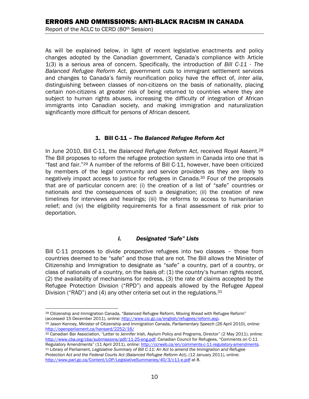As will be explained below, in light of recent legislative enactments and policy changes adopted by the Canadian government, Canada's compliance with Article 1(3) is a serious area of concern. Specifically, the introduction of *Bill C-11* - *The Balanced Refugee Reform Act*, government cuts to immigrant settlement services and changes to Canada's family reunification policy have the effect of, *inter alia*, distinguishing between classes of non-citizens on the basis of nationality, placing certain non-citizens at greater risk of being returned to countries where they are subject to human rights abuses, increasing the difficulty of integration of African immigrants into Canadian society, and making immigration and naturalization significantly more difficult for persons of African descent.

#### 1. Bill C-11 – *The Balanced Refugee Reform Act*

In June 2010, Bill C-11, the *Balanced Refugee Reform Act*, received Royal Assent.28 The Bill proposes to reform the refugee protection system in Canada into one that is "fast and fair."29 A number of the reforms of Bill C-11, however, have been criticized by members of the legal community and service providers as they are likely to negatively impact access to justice for refugees in Canada.30 Four of the proposals that are of particular concern are: (i) the creation of a list of "safe" countries or nationals and the consequences of such a designation; (ii) the creation of new timelines for interviews and hearings; (iii) the reforms to access to humanitarian relief; and (iv) the eligibility requirements for a final assessment of risk prior to deportation.

#### *i. Designated "Safe" Lists*

Bill C-11 proposes to divide prospective refugees into two classes – those from countries deemed to be "safe" and those that are not. The Bill allows the Minister of Citizenship and Immigration to designate as "safe" a country, part of a country, or class of nationals of a country, on the basis of: (1) the country's human rights record, (2) the availability of mechanisms for redress, (3) the rate of claims accepted by the Refugee Protection Division ("RPD") and appeals allowed by the Refugee Appeal Division ("RAD") and (4) any other criteria set out in the regulations.<sup>31</sup>

<sup>1</sup> <sup>28</sup> Citizenship and Immigration Canada, "Balanced Refugee Reform, Moving Ahead with Refugee Reform"<br>(accessed 15 December 2011), online: http://www.cic.gc.ca/english/refugees/reform.asp.

<sup>&</sup>lt;sup>29</sup> Jason Kenney, Minister of Citizenship and Immigration Canada, Parliamentary Speech (26 April 2010), online: http://openparliament.ca/hansard/2252/16/<br><sup>30</sup> Canadian Bar Association, "Letter to Jennifer Irish, Asylum Policy and Programs, Director" (2 May 2011), online:

http://www.cba.org/cba/submissions/pdf/11-25-eng.pdf; Canadian Council for Refugees, "Comments on C-11

Regulatory Amendments" (11 April 2011), online: http://ccrweb.ca/en/comments-c-11-regulatory-amendments. 31 Library of Parliament, *Legislative Summary of Bill C-11: An Act to amend the Immigration and Refugee Protection Act and the Federal Courts Act (Balanced Refugee Reform Act)*, (12 January 2011), online: http://www.parl.gc.ca/Content/LOP/LegislativeSummaries/40/3/c11-e.pdf at 8.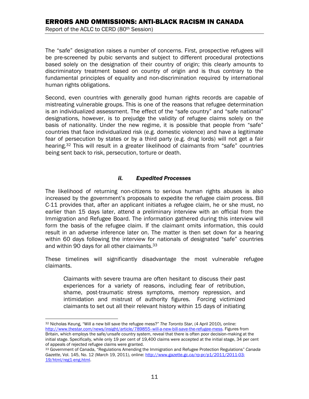The "safe" designation raises a number of concerns. First, prospective refugees will be pre-screened by pubic servants and subject to different procedural protections based solely on the designation of their country of origin; this clearly amounts to discriminatory treatment based on country of origin and is thus contrary to the fundamental principles of equality and non-discrimination required by international human rights obligations.

Second, even countries with generally good human rights records are capable of mistreating vulnerable groups. This is one of the reasons that refugee determination is an individualized assessment. The effect of the "safe country" and "safe national" designations, however, is to prejudge the validity of refugee claims solely on the basis of nationality. Under the new regime, it is possible that people from "safe" countries that face individualized risk (e.g. domestic violence) and have a legitimate fear of persecution by states or by a third party (e.g. drug lords) will not get a fair hearing.<sup>32</sup> This will result in a greater likelihood of claimants from "safe" countries being sent back to risk, persecution, torture or death.

#### *ii. Expedited Processes*

The likelihood of returning non-citizens to serious human rights abuses is also increased by the government's proposals to expedite the refugee claim process. Bill C-11 provides that, after an applicant initiates a refugee claim, he or she must, no earlier than 15 days later, attend a preliminary interview with an official from the Immigration and Refugee Board. The information gathered during this interview will form the basis of the refugee claim. If the claimant omits information, this could result in an adverse inference later on. The matter is then set down for a hearing within 60 days following the interview for nationals of designated "safe" countries and within 90 days for all other claimants.<sup>33</sup>

These timelines will significantly disadvantage the most vulnerable refugee claimants.

Claimants with severe trauma are often hesitant to discuss their past experiences for a variety of reasons, including fear of retribution, shame, post-traumatic stress symptoms, memory repression, and intimidation and mistrust of authority figures. Forcing victimized claimants to set out all their relevant history within 15 days of initiating

1

<sup>32</sup> Nicholas Keung, "Will a new bill save the refugee mess?" *The Toronto Star*, (4 April 2010), online: http://www.thestar.com/news/insight/article/789855--will-a-new-bill-save-the-refugee-mess. Figures from Britain, which employs the safe/unsafe country system, reveal that there is often poor decision-making at the initial stage. Specifically, while only 19 per cent of 19,400 claims were accepted at the initial stage, 34 per cent of appeals of rejected refugee claims were granted.

<sup>33</sup> Government of Canada, "Regulations Amending the Immigration and Refugee Protection Regulations" *Canada Gazette*, Vol. 145, No. 12 (March 19, 2011), online: http://www.gazette.gc.ca/rp-pr/p1/2011/2011-03- 19/html/reg1-eng.html.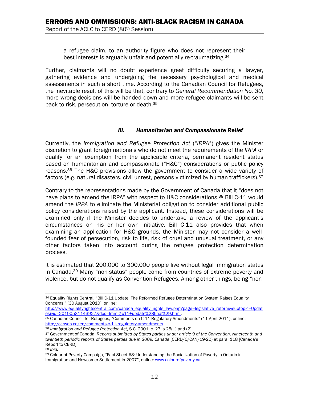a refugee claim, to an authority figure who does not represent their best interests is arguably unfair and potentially re-traumatizing.34

Further, claimants will no doubt experience great difficulty securing a lawyer, gathering evidence and undergoing the necessary psychological and medical assessments in such a short time. According to the Canadian Council for Refugees, the inevitable result of this will be that, contrary to *General Recommendation No. 30*, more wrong decisions will be handed down and more refugee claimants will be sent back to risk, persecution, torture or death.35

#### *iii. Humanitarian and Compassionate Relief*

Currently, the *Immigration and Refugee Protection Act* ("*IRPA*") gives the Minister discretion to grant foreign nationals who do not meet the requirements of the *IRPA* or qualify for an exemption from the applicable criteria, permanent resident status based on humanitarian and compassionate ("H&C") considerations or public policy reasons.36 The H&C provisions allow the government to consider a wide variety of factors (e.g. natural disasters, civil unrest, persons victimized by human traffickers).37

Contrary to the representations made by the Government of Canada that it "does not have plans to amend the IRPA" with respect to H&C considerations,<sup>38</sup> Bill C-11 would amend the *IRPA* to eliminate the Ministerial obligation to consider additional public policy considerations raised by the applicant. Instead, these considerations will be examined only if the Minister decides to undertake a review of the applicant's circumstances on his or her own initiative. Bill C-11 also provides that when examining an application for H&C grounds, the Minister may not consider a wellfounded fear of persecution, risk to life, risk of cruel and unusual treatment, or any other factors taken into account during the refugee protection determination process.

It is estimated that 200,000 to 300,000 people live without legal immigration status in Canada.39 Many "non-status" people come from countries of extreme poverty and violence, but do not qualify as Convention Refugees. Among other things, being "non-

 $\overline{a}$ 34 Equality Rights Central, "Bill C-11 Update: The Reformed Refugee Determination System Raises Equality Concerns," (30 August 2010), online:

http://www.equalityrightscentral.com/canada\_equality\_rights\_law.php?page=legislative\_reform&subtopic=Updat\_es&id=20100531143927&doc=Immig-c11+update%28final%29.html.

<sup>&</sup>lt;sup>35</sup> Canadian Council for Refugees, "Comments on C-11 Regulatory Amendments" (11 April 2011), online:<br>http://ccrweb.ca/en/comments c-11-regulatory-amendments.

<sup>&</sup>lt;sup>36</sup> Immigration and Refugee Protection Act, S.C. 2001, c. 27, s.25(1) and (2).<br><sup>37</sup> Government of Canada, Reports submitted by States parties under article 9 of the Convention, Nineteenth and *twentieth periodic reports of States parties due in 2009, Canada* (CERD/C/CAN/19-20) at para. 118 [Canada's Report to CERD].

<sup>38</sup> *Ibid.*

<sup>39</sup> Colour of Poverty Campaign, "Fact Sheet #8: Understanding the Racialization of Poverty in Ontario in Immigration and Newcomer Settlement in 2007", online: www.colourofpoverty.ca.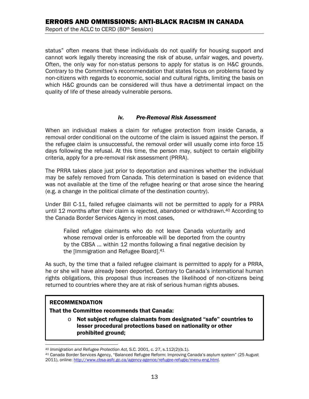status" often means that these individuals do not qualify for housing support and cannot work legally thereby increasing the risk of abuse, unfair wages, and poverty. Often, the only way for non-status persons to apply for status is on H&C grounds. Contrary to the Committee's recommendation that states focus on problems faced by non-citizens with regards to economic, social and cultural rights, limiting the basis on which H&C grounds can be considered will thus have a detrimental impact on the quality of life of these already vulnerable persons.

#### *iv. Pre-Removal Risk Assessment*

When an individual makes a claim for refugee protection from inside Canada, a removal order conditional on the outcome of the claim is issued against the person. If the refugee claim is unsuccessful, the removal order will usually come into force 15 days following the refusal. At this time, the person may, subject to certain eligibility criteria, apply for a pre-removal risk assessment (PRRA).

The PRRA takes place just prior to deportation and examines whether the individual may be safely removed from Canada. This determination is based on evidence that was not available at the time of the refugee hearing or that arose since the hearing (e.g. a change in the political climate of the destination country).

Under Bill C-11, failed refugee claimants will not be permitted to apply for a PRRA until 12 months after their claim is rejected, abandoned or withdrawn.40 According to the Canada Border Services Agency in most cases,

Failed refugee claimants who do not leave Canada voluntarily and whose removal order is enforceable will be deported from the country by the CBSA … within 12 months following a final negative decision by the [Immigration and Refugee Board].41

As such, by the time that a failed refugee claimant is permitted to apply for a PRRA, he or she will have already been deported. Contrary to Canada's international human rights obligations, this proposal thus increases the likelihood of non-citizens being returned to countries where they are at risk of serious human rights abuses.

#### RECOMMENDATION

That the Committee recommends that Canada:

 $\circ$  Not subiect refugee claimants from designated "safe" countries to lesser procedural protections based on nationality or other prohibited ground;

 $\overline{a}$ 

<sup>&</sup>lt;sup>40</sup> *Immigration and Refugee Protection Act*, S.C. 2001, c. 27, s.112(2)(b.1).<br><sup>41</sup> Canada Border Services Agency, "Balanced Refugee Reform: Improving Canada's asylum system" (25 August 2011), online: http://www.cbsa-asfc.gc.ca/agency-agence/refugee-refugie/menu-eng.html.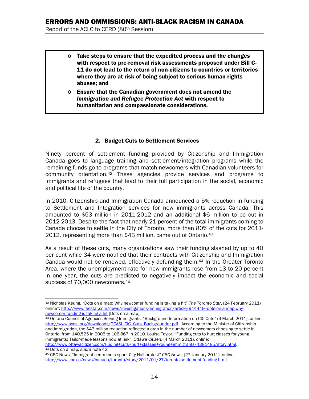- $\circ$  Take steps to ensure that the expedited process and the changes with respect to pre-removal risk assessments proposed under Bill C-11 do not lead to the return of non-citizens to countries or territories where they are at risk of being subject to serious human rights abuses; and
- $\circ$  Ensure that the Canadian government does not amend the *Immigration and Refugee Protection Act* with respect to humanitarian and compassionate considerations.

#### 2. Budget Cuts to Settlement Services

Ninety percent of settlement funding provided by Citizenship and Immigration Canada goes to language training and settlement/integration programs while the remaining funds go to programs that match newcomers with Canadian volunteers for community orientation.42 These agencies provide services and programs to immigrants and refugees that lead to their full participation in the social, economic and political life of the country.

In 2010, Citizenship and Immigration Canada announced a 5% reduction in funding to Settlement and Integration services for new immigrants across Canada. This amounted to \$53 million in 2011-2012 and an additional \$6 million to be cut in 2012-2013. Despite the fact that nearly 21 percent of the total immigrants coming to Canada choose to settle in the City of Toronto, more than 80% of the cuts for 2011- 2012, representing more than \$43 million, came out of Ontario.43

As a result of these cuts, many organizations saw their funding slashed by up to 40 per cent while 34 were notified that their contracts with Citizenship and Immigration Canada would not be renewed, effectively defunding them.44 In the Greater Toronto Area, where the unemployment rate for new immigrants rose from 13 to 20 percent in one year, the cuts are predicted to negatively impact the economic and social success of 70,000 newcomers.<sup>45</sup>

 $\overline{a}$ 42 Nicholas Keung, "Dots on a map: Why newcomer funding is taking a hit" *The Toronto Star*, (24 February 2011) online": http://www.thestar.com/news/investigations/immigration/article/944449-dots-on-a-map-why-

newcomer-funding-is-taking-a-hit [Dots on a map].<br><sup>43</sup> Ontario Council of Agencies Serving Immigrants, "Background Information on CIC Cuts" (9 March 2011), online: http://www.ocasi.org/downloads/OCASI\_CIC\_Cuts\_Backgrounder.pdf. According to the Minister of Citizenship and Immigration, the \$43 million reduction reflected a drop in the number of newcomers choosing to settle in Ontario, from 140,525 in 2005 to 106,867 in 2010. Louisa Taylor, "Funding cuts to hurt classes for young immigrants: Tailor-made lessons now at risk", *Ottawa Citizen*, (4 March 2011), online: http://www.ottawacitizen.com/Fuding+cuts+hurt+classes+young+immigrants/4381485/story.html.<br>44 Dots on a map, supra note 42.<br>45 CBC News, "Immigrant centre cuts spark City Hall protest" CBC News, (27 January 2011), online:

http://www.cbc.ca/news/canada/toronto/story/2011/01/27/toronto-settlement-funding.html.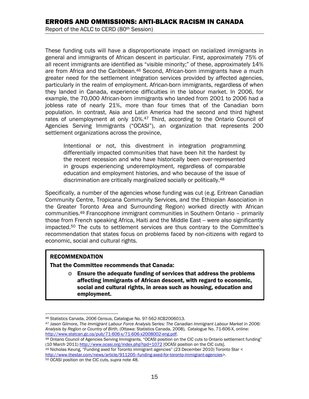These funding cuts will have a disproportionate impact on racialized immigrants in general and immigrants of African descent in particular. First, approximately 75% of all recent immigrants are identified as "visible minority;" of these, approximately 14% are from Africa and the Caribbean.46 Second, African-born immigrants have a much greater need for the settlement integration services provided by affected agencies, particularly in the realm of employment. African-born immigrants, regardless of when they landed in Canada, experience difficulties in the labour market. In 2006, for example, the 70,000 African-born immigrants who landed from 2001 to 2006 had a jobless rate of nearly 21%, more than four times that of the Canadian born population. In contrast, Asia and Latin America had the second and third highest rates of unemployment at only 10%.<sup>47</sup> Third, according to the Ontario Council of Agencies Serving Immigrants ("OCASI"), an organization that represents 200 settlement organizations across the province,

Intentional or not, this divestment in integration programming differentially impacted communities that have been hit the hardest by the recent recession and who have historically been over-represented in groups experiencing underemployment, regardless of comparable education and employment histories, and who because of the issue of discrimination are critically marginalized socially or politically.<sup>48</sup>

Specifically, a number of the agencies whose funding was cut (e.g. Eritrean Canadian Community Centre, Tropicana Community Services, and the Ethiopian Association in the Greater Toronto Area and Surrounding Region) worked directly with African communities.49 Francophone immigrant communities in Southern Ontario – primarily those from French speaking Africa, Haiti and the Middle East -- were also significantly impacted.50 The cuts to settlement services are thus contrary to the Committee's recommendation that states focus on problems faced by non-citizens with regard to economic, social and cultural rights.

#### RECOMMENDATION

That the Committee recommends that Canada:

 $\circ$  Ensure the adequate funding of services that address the problems affecting immigrants of African descent, with regard to economic, social and cultural rights, in areas such as housing, education and employment.

 $\overline{a}$ 

<sup>46</sup> Statistics Canada, *2006 Census*, Catalogue No. 97-562-XCB2006013. 47 Jason Gilmore, *The Immigrant Labour Force Analysis Series: The Canadian Immigrant Labour Market in 2006: Analysis by Region or Country of Birth*, (Ottawa: Statistics Canada, 2008), Catalogue No. 71-606-X, online:

<sup>48</sup> Ontario Council of Agencies Serving Immigrants, "OCASI position on the CIC cuts to Ontario settlement funding" (10 March 2011) http://www.ocasi.org/index.php?qid=1072 [OCASI position on the CIC cuts].<br><sup>49</sup> Nicholas Keung, "Funding axed for Toronto immigrant agencies" (23 December 2010) Toronto Star <

http://www.thestar.com/news/article/911205--funding-axed-for-toronto-immigrant-agencies>. 50 OCASI position on the CIC cuts, *supra* note 48.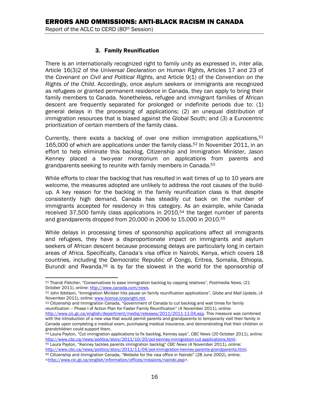#### 3. Family Reunification

There is an internationally recognized right to family unity as expressed in, *inter alia*, Article 16(3)2 of the *Universal Declaration on Human Rights*, Articles 17 and 23 of the *Covenant on Civil and Political Rights*, and Article 9(1) of the *Convention on the Rights of the Child*. Accordingly, once asylum seekers or immigrants are recognized as refugees or granted permanent residence in Canada, they can apply to bring their family members to Canada. Nonetheless, refugee and immigrant families of African descent are frequently separated for prolonged or indefinite periods due to: (1) general delays in the processing of applications; (2) an unequal distribution of immigration resources that is biased against the Global South; and (3) a Eurocentric prioritization of certain members of the family class.

Currently, there exists a backlog of over one million immigration applications,  $51$ 165,000 of which are applications under the family class.52 In November 2011, in an effort to help eliminate this backlog, Citizenship and Immigration Minister, Jason Kenney placed a two-year moratorium on applications from parents and grandparents seeking to reunite with family members in Canada.<sup>53</sup>

While efforts to clear the backlog that has resulted in wait times of up to 10 years are welcome, the measures adopted are unlikely to address the root causes of the buildup. A key reason for the backlog in the family reunification class is that despite consistently high demand, Canada has steadily cut back on the number of immigrants accepted for residency in this category. As an example, while Canada received 37,500 family class applications in 2010,<sup>54</sup> the target number of parents and grandparents dropped from 20,000 in 2006 to 15,000 in 2010.55

While delays in processing times of sponsorship applications affect all immigrants and refugees, they have a disproportionate impact on immigrants and asylum seekers of African descent because processing delays are particularly long in certain areas of Africa. Specifically, Canada's visa office in Nairobi, Kenya, which covers 18 countries, including the Democratic Republic of Congo, Eritrea, Somalia, Ethiopia, Burundi and Rwanda,<sup>56</sup> is by far the slowest in the world for the sponsorship of

reunification – Phase I of Action Plan for Faster Family Reunification" (4 November 2011), online: http://www.cic.gc.ca/english/department/media/releases/2011/2011-11-04.asp. This measure was combined with the introduction of a new visa that would permit parents and grandparents to temporarily visit their family in

<sup>1</sup> 51 Thandi Fletcher, "Conservatives to ease immigration backlog by capping relatives", Postmedia News, (21 October 2011), online: http://www.canada.com/news.

<sup>&</sup>lt;sup>52</sup> John Ibbitson, "Immigration Minister hits pause on family reunification applications", Globe and Mail Update, (4 November 2011), online: www.licence.icopyright.net.<br><sup>53</sup> Citizenship and Immigration Canada, "Government of Canada to cut backlog and wait times for family

Canada upon completing a medical exam, purchasing medical insurance, and demonstrating that their children or grandchildren could support them.

<sup>54</sup> Laura Payton, "Cut immigration applications to fix backlog, Kenney says", *CBC News* (20 October 2011), online: http://www.cbc.ca/news/politics/story/2011/10/20/pol-kenney-immigration-cut-applications.html. 55 Laura Payton, "Kenney tackles parents immigration backlog" *CBC News* (4 November 2011), online:

http://www.cbc.ca/news/politics/story/2011/11/04/pol-immigration-kenney-parents-grandparents.html.<br><sup>56</sup> Citizenship and Immigration Canada, "Website for the visa office in Nairobi" (28 June 2002), online: <http://www.cic.gc.ca/english/information/offices/missions/nairobi.asp>.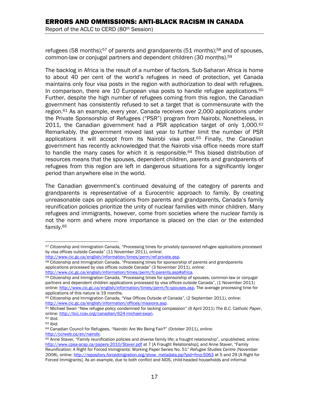refugees (58 months):<sup>57</sup> of parents and grandparents (51 months):<sup>58</sup> and of spouses, common-law or conjugal partners and dependent children (30 months).59

The backlog in Africa is the result of a number of factors. Sub-Saharan Africa is home to about 40 per cent of the world's refugees in need of protection, yet Canada maintains only four visa posts in the region with authorization to deal with refugees. In comparison, there are 10 European visa posts to handle refugee applications.<sup>60</sup> Further, despite the high number of refugees coming from this region, the Canadian government has consistently refused to set a target that is commensurate with the region.61 As an example, every year, Canada receives over 2,000 applications under the Private Sponsorship of Refugees ("PSR") program from Nairobi. Nonetheless, in 2011, the Canadian government had a PSR application target of only  $1,000^{62}$ Remarkably, the government moved last year to further limit the number of PSR applications it will accept from its Nairobi visa post.<sup>63</sup> Finally, the Canadian government has recently acknowledged that the Nairobi visa office needs more staff to handle the many cases for which it is responsible.<sup>64</sup> This biased distribution of resources means that the spouses, dependent children, parents and grandparents of refugees from this region are left in dangerous situations for a significantly longer period than anywhere else in the world.

The Canadian government's continued devaluing of the category of parents and grandparents is representative of a Eurocentric approach to family. By creating unreasonable caps on applications from parents and grandparents, Canada's family reunification policies prioritize the unity of nuclear families with minor children. Many refugees and immigrants, however, come from societies where the nuclear family is not the norm and where more importance is placed on the clan or the extended family.65

<sup>1</sup> 57 Citizenship and Immigration Canada, "Processing times for privately sponsored refugee applications processed by visa offices outside Canada" (11 November 2011), online:

http://www.cic.gc.ca/english/information/times/perm/ref-private.asp.<br><sup>58</sup> Citizenship and Immigration Canada, "Processing times for sponsorship of parents and grandparents applications processed by visa offices outside Canada" (3 November 2011), online:

http://www.cic.gc.ca/english/information/times/perm/fc-parents.asp#africa.<br><sup>59</sup> Citizenship and Immigration Canada, "Processing times for sponsorship of spouses, common-law or conjugal partners and dependent children applications processed by visa offices outside Canada", (1 November 2011) online: http://www.cic.gc.ca/english/information/times/perm/fc-spouses.asp. The average processing time for applications of this nature is 19 months.

<sup>60</sup> Citizenship and Immigration Canada, "Visa Offices Outside of Canada", (2 September 2011), online: http://www.cic.gc.ca/english/information/offices/missions.asp.<br><sup>61</sup> Michael Swan "New refugee policy condemned for lacking compassion" (6 April 2011) *The B.C. Catholic Paper*,

online: http://bcc.rcav.org/canadian/624-michael-swan. 62 *Ibid.* 

<sup>63</sup> *Ibid.* 

<sup>64</sup> Canadian Council for Refugees, "Nairobi: Are We Being Fair?" (October 2011), online:

http://ccrweb.ca/en/nairobi.<br><sup>65</sup> Anne Staver, "Family reunification policies and diverse family life: a fraught relationship", unpublished, online: http://www.cpsa-acsp.ca/papers-2010/Staver.pdf at 7 [A Fraught Relationship]; and Anne Staver, "Family Reunification: A Right for Forced Immigrants: Working Paper Series No. 51" *Refugee Studies Centre* (November 2008), online: http://repository.forcedmigration.org/show\_metadata.jsp?pid=fmo:5063 at 5 and 29 [A Right for Forced Immigrants]. As an example, due to both conflict and AIDS, child-headed households and informal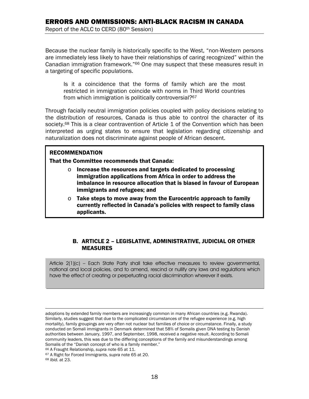Because the nuclear family is historically specific to the West, "non-Western persons are immediately less likely to have their relationships of caring recognized" within the Canadian immigration framework."66 One may suspect that these measures result in a targeting of specific populations.

Is it a coincidence that the forms of family which are the most restricted in immigration coincide with norms in Third World countries from which immigration is politically controversial?<sup>67</sup>

Through facially neutral immigration policies coupled with policy decisions relating to the distribution of resources, Canada is thus able to control the character of its society.<sup>68</sup> This is a clear contravention of Article 1 of the Convention which has been interpreted as urging states to ensure that legislation regarding citizenship and naturalization does not discriminate against people of African descent.

#### RECOMMENDATION

That the Committee recommends that Canada:

- o Increase the resources and targets dedicated to processing immigration applications from Africa in order to address the imbalance in resource allocation that is biased in favour of European immigrants and refugees; and
- $\circ$  Take steps to move away from the Eurocentric approach to family currently reflected in Canada's policies with respect to family class applicants.

#### B. ARTICLE 2 – LEGISLATIVE, ADMINISTRATIVE, JUDICIAL OR OTHER MEASURES

Article 2(1)(c) – Each State Party shall take effective measures to review governmental, national and local policies, and to amend, rescind or nullify any laws and regulations which have the effect of creating or perpetuating racial discrimination wherever it exists.

 $\overline{a}$ 

adoptions by extended family members are increasingly common in many African countries (e.g. Rwanda). Similarly, studies suggest that due to the complicated circumstances of the refugee experience (e.g. high mortality), family groupings are very often not nuclear but families of choice or circumstance. Finally, a study conducted on Somali immigrants in Denmark determined that 58% of Somalis given DNA testing by Danish authorities between January, 1997, and September, 1998, received a negative result. According to Somali community leaders, this was due to the differing conceptions of the family and misunderstandings among Somalis of the "Danish concept of who is a family member."

<sup>66</sup> A Fraught Relationship, *supra* note 65 at 11. 67 A Right for Forced Immigrants, *supra* note 65 at 20. 68 *Ibid.* at 23.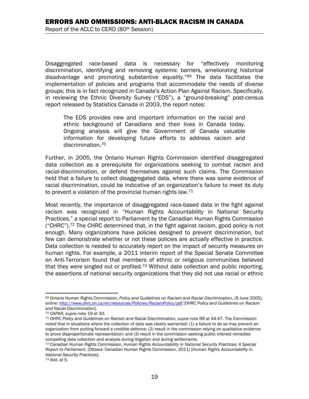Disaggregated race-based data is necessary for "effectively monitoring discrimination, identifying and removing systemic barriers, ameliorating historical disadvantage and promoting substantive equality."69 The data facilitates the implementation of policies and programs that accommodate the needs of diverse groups; this is in fact recognized in Canada's Action Plan Against Racism. Specifically, in reviewing the Ethnic Diversity Survey ("EDS"), a "ground-breaking" post-census report released by Statistics Canada in 2003, the report notes:

The EDS provides new and important information on the racial and ethnic background of Canadians and their lives in Canada today. Ongoing analysis will give the Government of Canada valuable information for developing future efforts to address racism and discrimination.70

Further, in 2005, the Ontario Human Rights Commission identified disaggregated data collection as a prerequisite for organizations seeking to combat racism and racial-discrimination, or defend themselves against such claims. The Commission held that a failure to collect disaggregated data, where there was some evidence of racial discrimination, could be indicative of an organization's failure to meet its duty to prevent a violation of the provincial human rights law.<sup>71</sup>

Most recently, the importance of disaggregated race-based data in the fight against racism was recognized in "Human Rights Accountability in National Security Practices," a special report to Parliament by the Canadian Human Rights Commission ("CHRC").<sup>72</sup> The CHRC determined that, in the fight against racism, good policy is not enough. Many organizations have policies designed to prevent discrimination, but few can demonstrate whether or not these policies are actually effective in practice. Data collection is needed to accurately report on the impact of security measures on human rights. For example, a 2011 interim report of the Special Senate Committee on Anti-Terrorism found that members of ethnic or religious communities believed that they were singled out or profiled.<sup>73</sup> Without data collection and public reporting, the assertions of national security organizations that they did not use racial or ethnic

<sup>1</sup> 69 Ontario Human Rights Commission, *Policy and Guidelines on Racism and Racial Discrimination*, (9 June 2005), online: http://www.ohrc.on.ca/en/resources/Policies/RacismPolicy/pdf [OHRC *Policy and Guidelines on Racism and Racial Discrimination*].<br><sup>70</sup> CAPAR, supra note 19 at 30.<br><sup>71</sup> OHRC *Policy and Guidelines on Racism and Racial Discrimination, supra note 69 at 44-47. The Commission* 

noted that in situations where the collection of data was clearly warranted: (1) a failure to do so may prevent an organization from putting forward a credible defence; (2) result in the commission relying on qualitative evidence to prove disproportionate representation; and (3) result in the commission seeking public interest remedies compelling data collection and analysis during litigation and during settlements.<br><sup>72</sup> Canadian Human Rights Commission, *Human Rights Accountability in National Security Practices: A Special* 

*Report to Parliament*, (Ottawa: Canadian Human Rights Commission, 2011) [*Human Rights Accountability in National Security Practices*].

<sup>73</sup> *Ibid.* at 5.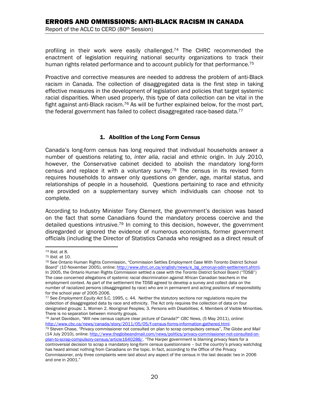profiling in their work were easily challenged.<sup>74</sup> The CHRC recommended the enactment of legislation requiring national security organizations to track their human rights related performance and to account publicly for that performance.<sup>75</sup>

Proactive and corrective measures are needed to address the problem of anti-Black racism in Canada. The collection of disaggregated data is the first step in taking effective measures in the development of legislation and policies that target systemic racial disparities. When used properly, this type of data collection can be vital in the fight against anti-Black racism.76 As will be further explained below, for the most part, the federal government has failed to collect disaggregated race-based data.<sup>77</sup>

#### 1. Abolition of the Long Form Census

Canada's long-form census has long required that individual households answer a number of questions relating to, *inter alia*, racial and ethnic origin. In July 2010, however, the Conservative cabinet decided to abolish the mandatory long-form census and replace it with a voluntary survey.78 The census in its revised form requires households to answer only questions on gender, age, marital status, and relationships of people in a household. Questions pertaining to race and ethnicity are provided on a supplementary survey which individuals can choose not to complete.

According to Industry Minister Tony Clement, the government's decision was based on the fact that some Canadians found the mandatory process coercive and the detailed questions intrusive.<sup>79</sup> In coming to this decision, however, the government disregarded or ignored the evidence of numerous economists, former government officials (including the Director of Statistics Canada who resigned as a direct result of

78 Janet Davidson, "Will new census capture clear picture of Canada?" *CBC News*, (5 May 2011), online:

 $\overline{a}$ 

<sup>&</sup>lt;sup>74</sup> *Ibid.* at 8.<br><sup>75</sup> *Ibid.* at 10.<br><sup>76</sup> See Ontario Human Rights Commission. "Commission Settles Employment Case With Toronto District School Board" (10 November 2005), online: http://www.ohrc.on.ca/english/news/e\_bg\_omoruyi-odin-settlement.shtml. In 2005, the Ontario Human Rights Commission settled a case with the Toronto District School Board ("TDSB") The case concerned allegations of systemic racial discrimination against African Canadian teachers in the employment context. As part of the settlement the TDSB agreed to develop a survey and collect data on the number of racialized persons (disaggregated by race) who are in permanent and acting positions of responsibility for the school year of 2005-2006.

<sup>77</sup> See *Employment Equity Act* S.C. 1995, c. 44. Neither the statutory sections nor regulations require the collection of disaggregated data by race and ethnicity. The Act only requires the collection of data on four designated groups: 1. Women 2. Aboriginal Peoples; 3. Persons with Disabilities; 4. Members of Visible Minorities. There is no separation between minority groups.

<sup>&</sup>lt;sup>79</sup> Steven Chase, "Privacy commissioner not consulted on plan to scrap compulsory census", *The Globe and Mail* (14 July 2010), online: http://www.theglobeandmail.com/news/politics/privacy-commissioner-not-consulted-onplan-to-scrap-compulsory-census/article1640288/. "The Harper government is blaming privacy fears for a controversial decision to scrap a mandatory long-form census questionnaire – but the country's privacy watchdog has heard almost nothing from Canadians on the topic. In fact, according to the Office of the Privacy Commissioner, only three complaints were laid about any aspect of the census in the last decade: two in 2006 and one in 2001."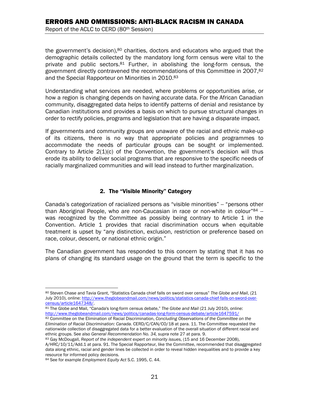the government's decision),<sup>80</sup> charities, doctors and educators who argued that the demographic details collected by the mandatory long form census were vital to the private and public sectors.81 Further, in abolishing the long-form census, the government directly contravened the recommendations of this Committee in 2007,82 and the Special Rapporteur on Minorities in 2010.<sup>83</sup>

Understanding what services are needed, where problems or opportunities arise, or how a region is changing depends on having accurate data. For the African Canadian community, disaggregated data helps to identify patterns of denial and resistance by Canadian institutions and provides a basis on which to pursue structural changes in order to rectify policies, programs and legislation that are having a disparate impact.

If governments and community groups are unaware of the racial and ethnic make-up of its citizens, there is no way that appropriate policies and programmes to accommodate the needs of particular groups can be sought or implemented. Contrary to Article  $2(1)(c)$  of the Convention, the government's decision will thus erode its ability to deliver social programs that are responsive to the specific needs of racially marginalized communities and will lead instead to further marginalization.

#### 2. The "Visible Minority" Category

Canada's categorization of racialized persons as "visible minorities" -- "persons other than Aboriginal People, who are non-Caucasian in race or non-white in colour<sup>"84</sup>  $$ was recognized by the Committee as possibly being contrary to Article 1 in the Convention. Article 1 provides that racial discrimination occurs when equitable treatment is upset by "any distinction, exclusion, restriction or preference based on race, colour, descent, or national ethnic origin."

The Canadian government has responded to this concern by stating that it has no plans of changing its standard usage on the ground that the term is specific to the

 $\overline{a}$ 80 Steven Chase and Tavia Grant, "Statistics Canada chief falls on sword over census" *The Globe and Mail*, (21 July 2010), online: http://www.theglobeandmail.com/news/politics/statistics-canada-chief-falls-on-sword-over-

census/article1647348/.<br><sup>81</sup> The Globe and Mail, "Canada's long-form census debate," *The Globe and Mail* (21 July 2010), online:<br>http://www.theglobeandmail.com/news/politics/canadas-long-form-census-debate/article1647591/

<sup>82</sup> Committee on the Elimination of Racial Discrimination, *Concluding Observations of the Committee on the Elimination of Racial Discrimination: Canada*. CERD/C/CAN/CO/18 at para. 11. The Committee requested the nationwide collection of disaggregated data for a better evaluation of the overall situation of different racial and<br>ethnic groups. See also General Recommendation No. 34, supra note 27 at para. 9.

<sup>&</sup>lt;sup>83</sup> Gay McDougall, *Report of the independent expert on minority issues*, (15 and 16 December 2008),

A/HRC/10/11/Add.1 at para. 91. The Special Rapporteur, like the Committee, recommended that disaggregated data along ethnic, racial and gender lines be collected in order to reveal hidden inequalities and to provide a key resource for informed policy decisions.

<sup>84</sup> See for example *Employment Equity Act* S.C. 1995, C. 44.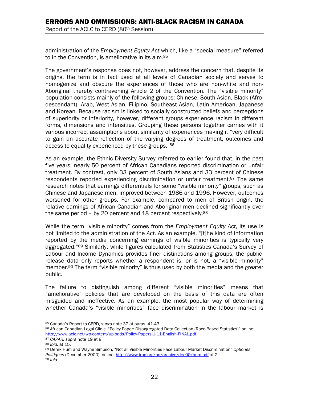# ERRORS AND OMMISSIONS: ANTI-BLACK RACISM IN CANADA

Report of the ACLC to CERD (80th Session)

administration of the *Employment Equity Act* which, like a "special measure" referred to in the Convention, is ameliorative in its aim.<sup>85</sup>

The government's response does not, however, address the concern that, despite its origins, the term is in fact used at all levels of Canadian society and serves to homogenize and obscure the experiences of those who are non-white and non-Aboriginal thereby contravening Article 2 of the Convention. The "visible minority" population consists mainly of the following groups: Chinese, South Asian, Black (Afrodescendant), Arab, West Asian, Filipino, Southeast Asian, Latin American, Japanese and Korean. Because racism is linked to socially constructed beliefs and perceptions of superiority or inferiority, however, different groups experience racism in different forms, dimensions and intensities. Grouping these persons together carries with it various incorrect assumptions about similarity of experiences making it "very difficult to gain an accurate reflection of the varying degrees of treatment, outcomes and access to equality experienced by these groups."86

As an example, the Ethnic Diversity Survey referred to earlier found that, in the past five years, nearly 50 percent of African Canadians reported discrimination or unfair treatment. By contrast, only 33 percent of South Asians and 33 percent of Chinese respondents reported experiencing discrimination or unfair treatment.<sup>87</sup> The same research notes that earnings differentials for some "visible minority" groups, such as Chinese and Japanese men, improved between 1986 and 1996. However, outcomes worsened for other groups. For example, compared to men of British origin, the relative earnings of African Canadian and Aboriginal men declined significantly over the same period – by 20 percent and 18 percent respectively.<sup>88</sup>

While the term "visible minority" comes from the *Employment Equity Act*, its use is not limited to the administration of the *Act.* As an example, "[t]he kind of information reported by the media concerning earnings of visible minorities is typically very aggregated."<sup>89</sup> Similarly, while figures calculated from Statistics Canada's Survey of Labour and Income Dynamics provides finer distinctions among groups, the publicrelease data only reports whether a respondent is, or is not, a "visible minority" member.<sup>90</sup> The term "visible minority" is thus used by both the media and the greater public.

The failure to distinguish among different "visible minorities" means that "ameliorative" policies that are developed on the basis of this data are often misguided and ineffective. As an example, the most popular way of determining whether Canada's "visible minorities" face discrimination in the labour market is

 $\overline{a}$ 

<sup>&</sup>lt;sup>85</sup> Canada's Report to CERD, s*upra* note 37 at paras. 41-43.<br><sup>86</sup> African Canadian Legal Clinic, "Policy Paper: Disaggregated Data Collection (Race-Based Statistics)" online:<br>http://www.aclc.net/wp-content/uploads/Policy

<sup>&</sup>lt;sup>87</sup> CAPAR, supra note 19 at 8.<br><sup>88</sup> Ibid. at 15.<br><sup>89</sup> Derek Hum and Wayne Simpson, "Not all Visible Minorities Face Labour Market Discrimination" Optiones *Politiques* (December 2000), online: http://www.irpp.org/po/archive/dec00/hum.pdf at 2. 90 *Ibid.*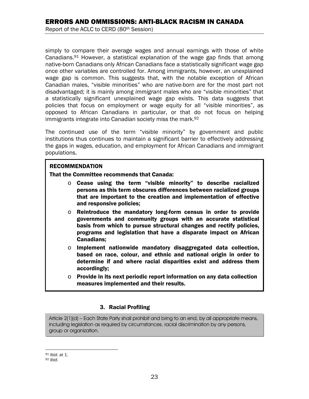simply to compare their average wages and annual earnings with those of white Canadians. $91$  However, a statistical explanation of the wage gap finds that among native-born Canadians only African Canadians face a statistically significant wage gap once other variables are controlled for. Among immigrants, however, an unexplained wage gap is common. This suggests that, with the notable exception of African Canadian males, "visible minorities" who are native-born are for the most part not disadvantaged; it is mainly among *immigrant* males who are "visible minorities" that a statistically significant unexplained wage gap exists. This data suggests that policies that focus on employment or wage equity for all "visible minorities", as opposed to African Canadians in particular, or that do not focus on helping immigrants integrate into Canadian society miss the mark.<sup>92</sup>

The continued use of the term "visible minority" by government and public institutions thus continues to maintain a significant barrier to effectively addressing the gaps in wages, education, and employment for African Canadians and immigrant populations.

#### RECOMMENDATION

That the Committee recommends that Canada:

- o Cease using the term "visible minority" to describe racialized persons as this term obscures differences between racialized groups that are important to the creation and implementation of effective and responsive policies;
- $\circ$  Reintroduce the mandatory long-form census in order to provide governments and community groups with an accurate statistical basis from which to pursue structural changes and rectify policies, programs and legislation that have a disparate impact on African Canadians;
- $\circ$  Implement nationwide mandatory disaggregated data collection, based on race, colour, and ethnic and national origin in order to determine if and where racial disparities exist and address them accordingly;
- $\circ$  Provide in its next periodic report information on any data collection measures implemented and their results.

#### 3. Racial Profiling

Article 2(1)(d) – Each State Party shall prohibit and bring to an end, by all appropriate means, including legislation as required by circumstances, racial discrimination by any persons, group or organization.

 $\overline{a}$ 

I

<sup>91</sup> *Ibid.* at 1. 92 *Ibid*.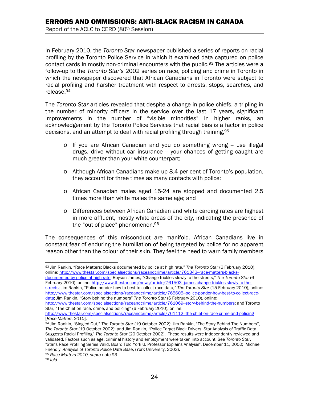In February 2010, the *Toronto Star* newspaper published a series of reports on racial profiling by the Toronto Police Service in which it examined data captured on police contact cards in mostly non-criminal encounters with the public.93 The articles were a follow-up to the *Toronto Star's* 2002 series on race, policing and crime in Toronto in which the newspaper discovered that African Canadians in Toronto were subject to racial profiling and harsher treatment with respect to arrests, stops, searches, and release.94

The *Toronto Star* articles revealed that despite a change in police chiefs, a tripling in the number of minority officers in the service over the last 17 years, significant improvements in the number of "visible minorities" in higher ranks, an acknowledgement by the Toronto Police Services that racial bias *is* a factor in police decisions, and an attempt to deal with racial profiling through training, 95

- $\circ$  If you are African Canadian and you do something wrong  $-$  use illegal drugs, drive without car insurance -- your chances of getting caught are much greater than your white counterpart;
- o Although African Canadians make up 8.4 per cent of Toronto's population, they account for three times as many contacts with police;
- o African Canadian males aged 15-24 are stopped and documented 2.5 times more than white males the same age; and
- o Differences between African Canadian and white carding rates are highest in more affluent, mostly white areas of the city, indicating the presence of the "out-of-place" phenomenon.96

The consequences of this misconduct are manifold. African Canadians live in constant fear of enduring the humiliation of being targeted by police for no apparent reason other than the colour of their skin. They feel the need to warn family members

February 2010), online: http://www.thestar.com/news/article/761503-james-change-trickles-slowly-to-thestreets; Jim Rankin, "Police ponder how to best to collect race data," *The Toronto Star* (15 February 2010), online: http://www.thestar.com/specialsections/raceandcrime/article/765605--police-ponder-how-best-to-collect-racedata; Jim Rankin, "Story behind the numbers" *The Toronto Star* (6 February 2010), online:

 $\overline{a}$ 93 Jim Rankin, "Race Matters: Blacks documented by police at high rate," *The Toronto Star* (6 February 2010), online: http://www.thestar.com/specialsections/raceandcrime/article/761343-race-matters-blacksdocumented-by-police-at-high-rate; Royson James, "Change trickles slowly to the streets," *The Toronto Star* (6

http://www.thestar.com/specialsections/raceandcrime/article/761069--story-behind-the-numbers; and Toronto Star, "The Chief on race, crime, and policing" (6 February 2010), online:

http://www.thestar.com/specialsections/raceandcrime/article/761112-the-chief-on-race-crime-and-policing<br>[Race Matters 2010].

<sup>[</sup>*Race Matters 2010*]. 94 Jim Rankin, "Singled Out," *The Toronto Star* (19 October 2002); Jim Rankin, "The Story Behind The Numbers", *The Toronto Star* (19 October 2002); and Jim Rankin, "Police Target Black Drivers, Star Analysis of Traffic Data Suggests Racial Profiling" *The Toronto Star* (20 October 2002). These results were independently reviewed and validated. Factors such as age, criminal history and employment were taken into account. See *Toronto Star*, "Star's Race Profiling Series Valid, Board Told York U. Professor Explains Analysis", December 11, 2002; Michael Friendly, *Analysis of Toronto Police Data Base*, (York University, 2003). 95 *Race Matters 2010, supra* note 93. 96 *Ibid.*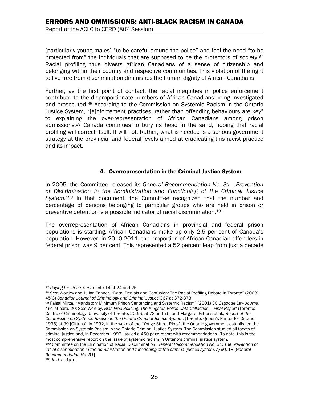(particularly young males) "to be careful around the police" and feel the need "to be protected from" the individuals that are supposed to be the protectors of society.97 Racial profiling thus divests African Canadians of a sense of citizenship and belonging within their country and respective communities. This violation of the right to live free from discrimination diminishes the human dignity of African Canadians.

Further, as the first point of contact, the racial inequities in police enforcement contribute to the disproportionate numbers of African Canadians being investigated and prosecuted.98 According to the Commission on Systemic Racism in the Ontario Justice System, "[e]nforcement practices, rather than offending behaviours are key" to explaining the over-representation of African Canadians among prison admissions.99 Canada continues to bury its head in the sand, hoping that racial profiling will correct itself. It will not. Rather, what is needed is a serious government strategy at the provincial and federal levels aimed at eradicating this racist practice and its impact.

#### 4. Overrepresentation in the Criminal Justice System

In 2005, the Committee released its *General Recommendation No. 31 - Prevention of Discrimination in the Administration and Functioning of the Criminal Justice System.100* In that document, the Committee recognized that the number and percentage of persons belonging to particular groups who are held in prison or preventive detention is a possible indicator of racial discrimination.101

The overrepresentation of African Canadians in provincial and federal prison populations is startling. African Canadians make up only 2.5 per cent of Canada's population. However, in 2010-2011, the proportion of African Canadian offenders in federal prison was 9 per cent. This represented a 52 percent leap from just a decade

491 at para. 20; Scot Wortley, *Bias Free Policing: The Kingston Police Data Collection – Final Report* (Toronto: Centre of Criminology, University of Toronto, 2005), at 73 and 75; and Margaret Gittens et al., *Report of the Commission on Systemic Racism in the Ontario Criminal Justice System*, (Toronto: Queen's Printer for Ontario, 1995) at 99 [Gittens]. In 1992, in the wake of the "Yonge Street Riots", the Ontario government established the Commission on Systemic Racism in the Ontario Criminal Justice System. The Commission studied all facets of criminal justice and, in December 1995, issued a 450 page report with recommendations. To date, this is the most comprehensive report on the issue of systemic racism in Ontario's criminal justice system.<br><sup>100</sup> Committee on the Elimination of Racial Discrimination, *General Recommendation No. 31: The prevention of* 

 $\overline{a}$ 

<sup>&</sup>lt;sup>97</sup> Paying the Price, supra note 14 at 24 and 25.<br><sup>98</sup> Scot Wortley and Julian Tanner, "Data, Denials and Confusion: The Racial Profiling Debate in Toronto" (2003) 45(3) *Canadian Journal of Criminology and Criminal Justice* 367 at 372-373.<br><sup>99</sup> Faisal Mirza, "Mandatory Minimum Prison Sentencing and Systemic Racism" (2001) 30 *Osgoode Law Journal* 

racial discrimination in the administration and functioning of the criminal justice system,  $A/60/18$  [General *Recommendation No. 31*]. 101 *Ibid.* at 1(e).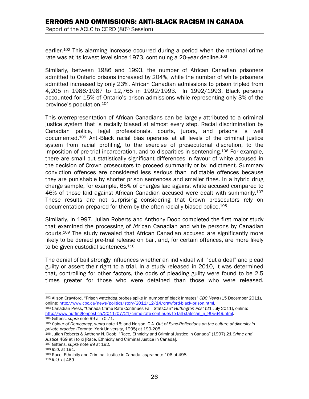earlier.102 This alarming increase occurred during a period when the national crime rate was at its lowest level since 1973, continuing a 20-year decline.<sup>103</sup>

Similarly, between 1986 and 1993, the number of African Canadian prisoners admitted to Ontario prisons increased by 204%, while the number of white prisoners admitted increased by only 23%. African Canadian admissions to prison tripled from 4,205 in 1986/1987 to 12,765 in 1992/1993. In 1992/1993, Black persons accounted for 15% of Ontario's prison admissions while representing only 3% of the province's population.104

This overrepresentation of African Canadians can be largely attributed to a criminal justice system that is racially biased at almost every step. Racial discrimination by Canadian police, legal professionals, courts, jurors, and prisons is well documented.105 Anti-Black racial bias operates at all levels of the criminal justice system from racial profiling, to the exercise of prosecutorial discretion, to the imposition of pre-trial incarceration, and to disparities in sentencing.106 For example, there are small but statistically significant differences in favour of white accused in the decision of Crown prosecutors to proceed summarily or by indictment. Summary conviction offences are considered less serious than indictable offences because they are punishable by shorter prison sentences and smaller fines. In a hybrid drug charge sample, for example, 65% of charges laid against white accused compared to 46% of those laid against African Canadian accused were dealt with summarily.<sup>107</sup> These results are not surprising considering that Crown prosecutors rely on documentation prepared for them by the often racially biased police.108

Similarly, in 1997, Julian Roberts and Anthony Doob completed the first major study that examined the processing of African Canadian and white persons by Canadian courts.109 The study revealed that African Canadian accused are significantly more likely to be denied pre-trial release on bail, and, for certain offences, are more likely to be given custodial sentences.<sup>110</sup>

The denial of bail strongly influences whether an individual will "cut a deal" and plead guilty or assert their right to a trial. In a study released in 2010, it was determined that, controlling for other factors, the odds of pleading guilty were found to be 2.5 times greater for those who were detained than those who were released.

online: http://www.cbc.ca/news/politics/story/2011/12/14/crawford-black-prison.html.<br><sup>103</sup> Canadian Press, "Canada Crime Rate Continues Fall: StatsCan" *Huffington Post* (21 July 2011), online:<br>http://www.huffingtonpost.ca

<sup>1</sup> 102 Alison Crawford, "Prison watchdog probes spike in number of black inmates" *CBC News* (15 December 2011),

<sup>&</sup>lt;sup>104</sup> Gittens, supra note 99 at 70-71.<br><sup>105</sup> Colour of Democracy, supra note 15; and Nelson, C.A. Out of Sync-Reflections on the culture of diversity in *private practice* (Toronto: York University, 1995) at 199-205.<br><sup>106</sup> Julian Roberts & Anthony N. Doob, "Race, Ethnicity and Criminal Justice in Canada" (1997) 21 *Crime and* 

Justice 469 at i to xi [Race, Ethnicity and Criminal Justice in Canada].<br><sup>107</sup> Gittens, supra note 99 at 192.<br><sup>108</sup> *Ibid.* at 191.<br><sup>109</sup> Race, Ethnicity and Criminal Justice in Canada, supra note 106 at 498.<br><sup>110</sup> *Ibid.*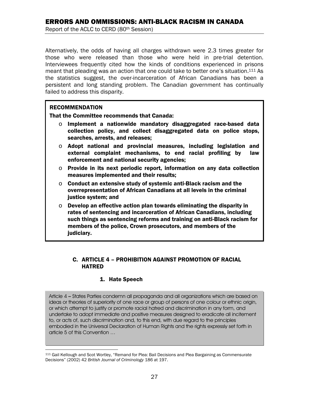Alternatively, the odds of having all charges withdrawn were 2.3 times greater for those who were released than those who were held in pre-trial detention. Interviewees frequently cited how the kinds of conditions experienced in prisons meant that pleading was an action that one could take to better one's situation.111 As the statistics suggest, the over-incarceration of African Canadians has been a persistent and long standing problem. The Canadian government has continually failed to address this disparity.

#### **RECOMMENDATION**

 $\overline{a}$ 

That the Committee recommends that Canada:

- $\circ$  Implement a nationwide mandatory disaggregated race-based data collection policy, and collect disaggregated data on police stops, searches, arrests, and releases;
- $\circ$  Adopt national and provincial measures, including legislation and external complaint mechanisms, to end racial profiling by law enforcement and national security agencies;
- $\circ$  Provide in its next periodic report, information on any data collection measures implemented and their results;
- $\circ$  Conduct an extensive study of systemic anti-Black racism and the overrepresentation of African Canadians at all levels in the criminal justice system; and
- $\circ$  Develop an effective action plan towards eliminating the disparity in rates of sentencing and incarceration of African Canadians, including such things as sentencing reforms and training on anti-Black racism for members of the police, Crown prosecutors, and members of the judiciary.

#### C. ARTICLE 4 – PROHIBITION AGAINST PROMOTION OF RACIAL HATRED

#### 1. Hate Speech

Article 4 – States Parties condemn all propaganda and all organizations which are based on ideas or theories of superiority of one race or group of persons of one colour or ethnic origin, or which attempt to justify or promote racial hatred and discrimination in any form, and undertake to adopt immediate and positive measures designed to eradicate all incitement to, or acts of, such discrimination and, to this end, with due regard to the principles embodied in the Universal Declaration of Human Rights and the rights expressly set forth in article 5 of this Convention …

<sup>111</sup> Gail Kellough and Scot Wortley, "Remand for Plea: Bail Decisions and Plea Bargaining as Commensurate Decisions" (2002) 42 *British Journal of Criminology* 186 at 197.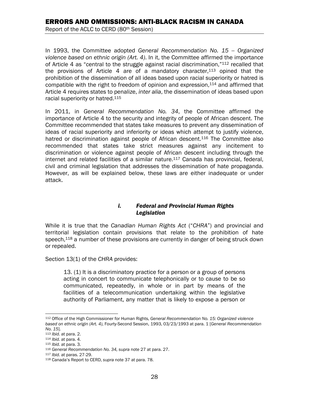In 1993, the Committee adopted *General Recommendation No. 15 -- Organized violence based on ethnic origin (Art. 4)*. In it, the Committee affirmed the importance of Article 4 as "central to the struggle against racial discrimination,"112 recalled that the provisions of Article 4 are of a mandatory character, $113$  opined that the prohibition of the dissemination of all ideas based upon racial superiority or hatred is compatible with the right to freedom of opinion and expression, $114$  and affirmed that Article 4 requires states to penalize, *inter alia*, the dissemination of ideas based upon racial superiority or hatred.115

In 2011, in *General Recommendation No. 34*, the Committee affirmed the importance of Article 4 to the security and integrity of people of African descent. The Committee recommended that states take measures to prevent any dissemination of ideas of racial superiority and inferiority or ideas which attempt to justify violence, hatred or discrimination against people of African descent.<sup>116</sup> The Committee also recommended that states take strict measures against any incitement to discrimination or violence against people of African descent including through the internet and related facilities of a similar nature.<sup>117</sup> Canada has provincial, federal, civil and criminal legislation that addresses the dissemination of hate propaganda. However, as will be explained below, these laws are either inadequate or under attack.

#### *i. Federal and Provincial Human Rights Legislation*

While it is true that the *Canadian Human Rights Act* ("*CHRA*") and provincial and territorial legislation contain provisions that relate to the prohibition of hate speech,<sup>118</sup> a number of these provisions are currently in danger of being struck down or repealed.

Section 13(1) of the *CHRA* provides:

13. (1) It is a discriminatory practice for a person or a group of persons acting in concert to communicate telephonically or to cause to be so communicated, repeatedly, in whole or in part by means of the facilities of a telecommunication undertaking within the legislative authority of Parliament, any matter that is likely to expose a person or

 $\overline{a}$ 112 Office of the High Commissioner for Human Rights, *General Recommendation No. 15: Organized violence based on ethnic origin (Art. 4)*, Fourty-Second Session, 1993, 03/23/1993 at para. 1 [*General Recommendation* 

<sup>&</sup>lt;sup>113</sup> *Ibid.* at para. 2.<br><sup>114</sup> *Ibid.* at para. 4.<br><sup>115</sup> *Ibid.* at para. 3.<br><sup>116</sup> General Recommendation No. 34, supra note 27 at para. 27.<br><sup>117</sup> *Ibid.* at paras. 27-29.<br><sup>118</sup> Canada's Report to CERD, supra note 37 at p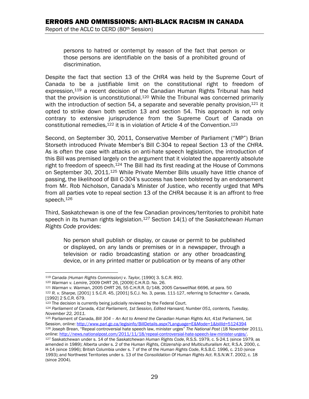persons to hatred or contempt by reason of the fact that person or those persons are identifiable on the basis of a prohibited ground of discrimination.

Despite the fact that section 13 of the *CHRA* was held by the Supreme Court of Canada to be a justifiable limit on the constitutional right to freedom of expression,119 a recent decision of the Canadian Human Rights Tribunal has held that the provision is unconstitutional.<sup>120</sup> While the Tribunal was concerned primarily with the introduction of section 54, a separate and severable penalty provision,  $121$  it opted to strike down both section 13 and section 54. This approach is not only contrary to extensive jurisprudence from the Supreme Court of Canada on constitutional remedies,  $122$  it is in violation of Article 4 of the Convention.  $123$ 

Second, on September 30, 2011, Conservative Member of Parliament ("MP") Brian Storseth introduced Private Member's Bill C-304 to repeal Section 13 of the *CHRA*. As is often the case with attacks on anti-hate speech legislation, the introduction of this Bill was premised largely on the argument that it violated the apparently absolute right to freedom of speech.<sup>124</sup> The Bill had its first reading at the House of Commons on September 30, 2011.125 While Private Member Bills usually have little chance of passing, the likelihood of Bill C-304's success has been bolstered by an endorsement from Mr. Rob Nicholson, Canada's Minister of Justice, who recently urged that MPs from all parties vote to repeal section 13 of the *CHRA* because it is an affront to free speech.<sup>126</sup>

Third, Saskatchewan is one of the few Canadian provinces/territories to prohibit hate speech in its human rights legislation.127 Section 14(1) of the *Saskatchewan Human Rights Code* provides:

No person shall publish or display, or cause or permit to be published or displayed, on any lands or premises or in a newspaper, through a television or radio broadcasting station or any other broadcasting device, or in any printed matter or publication or by means of any other

 $\overline{a}$ 

<sup>&</sup>lt;sup>119</sup> Canada (Human Rights Commission) v. Taylor, [1990] 3. S.C.R. 892.<br><sup>120</sup> Warman v. Lemire, 2009 CHRT 26, [2009] C.H.R.D. No. 26.<br><sup>121</sup> Warman v. Warman, 2005 CHRT 26, 55 C.H.R.R. D/148, 2005 CarswellNat 6696, at para.

<sup>[1992] 2</sup> S.C.R. 679.

<sup>123</sup> The decision is currently being judicially reviewed by the Federal Court. 124 *Parliament of Canada, 41st Parliament, 1st Session, Edited Hansard, Number 051, contents, Tuesday, November 22, 2011.* 

<sup>125</sup> Parliament of Canada, *Bill 304 - An Act to Amend the Canadian Human Rights Act*, 41st Parliament, 1st Session, online: http://www.parl.gc.ca/legisinfo/BillDetails.aspx?Language=E&Mode=1&billId=5124394 <sup>126</sup> Joseph Brean, "Repeal controversial hate speech law, minister urges" The National Post (18 November 2011), online: http://news.nationalpost.com/2011/1/13/repeal-controversial-hate-speech-law-minister-urges/.

<sup>&</sup>lt;sup>127</sup> Saskatchewan under s. 14 of the Saskatchewan Human Rights Code, R.S.S. 1979, c. S-24.1 (since 1979, as amended in 1989); Alberta under s. 2 of the *Human Rights, Citizenship and Multiculturalism Act*, R.S.A. 2000, c. H-14 (since 1996); British Columbia under s. 7 of the of the *Human Rights Code*, R.S.B.C. 1996, c. 210 (since 1993); and Northwest Territories under s. 13 of the *Consolidation Of Human Rights Act*. R.S.N.W.T. 2002, c. 18 (since 2004).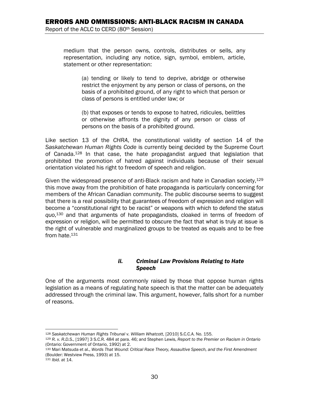medium that the person owns, controls, distributes or sells, any representation, including any notice, sign, symbol, emblem, article, statement or other representation:

(a) tending or likely to tend to deprive, abridge or otherwise restrict the enjoyment by any person or class of persons, on the basis of a prohibited ground, of any right to which that person or class of persons is entitled under law; or

(b) that exposes or tends to expose to hatred, ridicules, belittles or otherwise affronts the dignity of any person or class of persons on the basis of a prohibited ground.

Like section 13 of the *CHRA*, the constitutional validity of section 14 of the *Saskatchewan Human Rights Code* is currently being decided by the Supreme Court of Canada.128 In that case, the hate propagandist argued that legislation that prohibited the promotion of hatred against individuals because of their sexual orientation violated his right to freedom of speech and religion.

Given the widespread presence of anti-Black racism and hate in Canadian society,  $129$ this move away from the prohibition of hate propaganda is particularly concerning for members of the African Canadian community. The public discourse seems to suggest that there is a real possibility that guarantees of freedom of expression and religion will become a "constitutional right to be racist" or weapons with which to defend the *status quo*, 130 and that arguments of hate propagandists, cloaked in terms of freedom of expression or religion, will be permitted to obscure the fact that what is truly at issue is the right of vulnerable and marginalized groups to be treated as equals and to be free from hate.<sup>131</sup>

#### *ii. Criminal Law Provisions Relating to Hate Speech*

One of the arguments most commonly raised by those that oppose human rights legislation as a means of regulating hate speech is that the matter can be adequately addressed through the criminal law. This argument, however, falls short for a number of reasons.

<sup>1</sup> 

<sup>128</sup> *Saskatchewan Human Rights Tribunal v. William Whatcott*, [2010] S.C.C.A. No. 155. 129 *R. v. R.D.S.*, [1997] 3 S.C.R. 484 at para. 46; and Stephen Lewis, *Report to the Premier on Racism in Ontario* (Ontario: Government of Ontario, 1992) at 2.

<sup>130</sup> Mari Matsuda et al., *Words That Wound: Critical Race Theory, Assaultive Speech, and the First Amendment* (Boulder: Westview Press, 1993) at 15. 131 *Ibid.* at 14.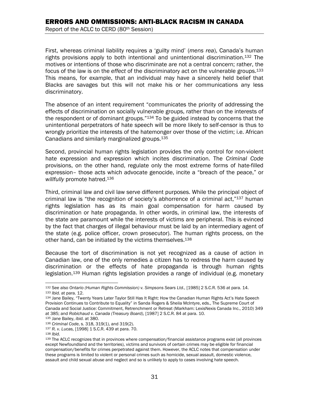First, whereas criminal liability requires a 'guilty mind' (*mens rea*), Canada's human rights provisions apply to both intentional and unintentional discrimination.132 The motives or intentions of those who discriminate are not a central concern; rather, the focus of the law is on the *effect* of the discriminatory act on the vulnerable groups.133 This means, for example, that an individual may have a sincerely held belief that Blacks are savages but this will not make his or her communications any less discriminatory.

The absence of an intent requirement "communicates the priority of addressing the effects of discrimination on socially vulnerable groups, rather than on the interests of the respondent or of dominant groups."<sup>134</sup> To be guided instead by concerns that the unintentional perpetrators of hate speech will be more likely to self-censor is thus to wrongly prioritize the interests of the hatemonger over those of the victim; i.e. African Canadians and similarly marginalized groups.135

Second, provincial human rights legislation provides the only control for non-violent hate expression and expression which incites discrimination. The *Criminal Code*  provisions, on the other hand, regulate only the most extreme forms of hate-filled expression– those acts which advocate genocide, incite a "breach of the peace," or *willfully* promote hatred.136

Third, criminal law and civil law serve different purposes. While the principal object of criminal law is "the recognition of society's abhorrence of a criminal act,"<sup>137</sup> human rights legislation has as its main goal compensation for harm caused by discrimination or hate propaganda. In other words, in criminal law, the interests of the state are paramount while the interests of victims are peripheral. This is evinced by the fact that charges of illegal behaviour must be laid by an intermediary agent of the state (e.g. police officer, crown prosecutor). The human rights process, on the other hand, can be initiated by the victims themselves.<sup>138</sup>

Because the tort of discrimination is not yet recognized as a cause of action in Canadian law, one of the only remedies a citizen has to redress the harm caused by discrimination or the effects of hate propaganda is through human rights legislation.139 Human rights legislation provides a range of individual (e.g. monetary

 $\overline{a}$ <sup>132</sup> See also Ontario (Human Rights Commission) v. Simpsons Sears Ltd., [1985] 2 S.C.R. 536 at para. 14.<br><sup>133</sup> Ibid. at para. 12.<br><sup>134</sup> Jane Bailev. "Twenty Years Later Taylor Still Has It Right: How the Canadian Human Ri

Provision Continues to Contribute to Equality" in Sanda Rogers & Sheila McIntyre, eds., The Supreme Court of Canada and Social Justice: Commitment, Retrenchment or Retreat (Markham: LexisNexis Canada Inc., 2010) 349 at 385; and Robichaud v. Canada (Treasury Board), [1987] 2 S.C.R. 84 at para. 10.<br><sup>135</sup> Jane Bailey, *ibid.* at 380.<br><sup>136</sup> Criminal Code, s. 318, 319(1), and 319(2).<br><sup>137</sup> R. v. Lucas, [1998] 1 S.C.R. 439 at para. 70.<br><sup>138</sup>

except Newfoundland and the territories), victims and survivors of certain crimes may be eligible for financial compensation/benefits for crimes perpetrated against them. However, the ACLC notes that compensation under these programs is limited to violent or personal crimes such as homicide, sexual assault, domestic violence, assault and child sexual abuse and neglect and so is unlikely to apply to cases involving hate speech.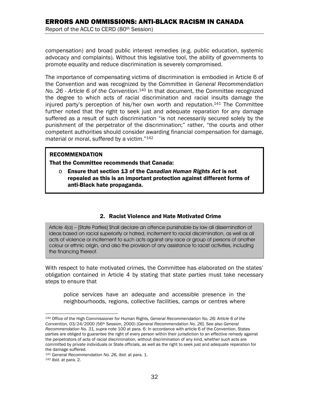compensation) and broad public interest remedies (e.g. public education, systemic advocacy and complaints). Without this legislative tool, the ability of governments to promote equality and reduce discrimination is severely compromised.

The importance of compensating victims of discrimination is embodied in Article 6 of the Convention and was recognized by the Committee in *General Recommendation No. 26 - Article 6 of the Convention*. 140 In that document, the Committee recognized the degree to which acts of racial discrimination and racial insults damage the injured party's perception of his/her own worth and reputation.141 The Committee further noted that the right to seek just and adequate reparation for any damage suffered as a result of such discrimination "is not necessarily secured solely by the punishment of the perpetrator of the discrimination;" rather, "the courts and other competent authorities should consider awarding financial compensation for damage, material or moral, suffered by a victim."142

#### RECOMMENDATION

That the Committee recommends that Canada:

o Ensure that section 13 of the *Canadian Human Rights Act* is not repealed as this is an important protection against different forms of anti-Black hate propaganda.

#### 2. Racist Violence and Hate Motivated Crime

Article 4(a) – [State Parties] Shall declare an offence punishable by law all dissemination of ideas based on racial superiority or hatred, incitement to racial discrimination, as well as all acts of violence or incitement to such acts against any race or group of persons of another colour or ethnic origin, and also the provision of any assistance to racist activities, including the financing thereof.

With respect to hate motivated crimes, the Committee has elaborated on the states' obligation contained in Article 4 by stating that state parties must take necessary steps to ensure that

police services have an adequate and accessible presence in the neighbourhoods, regions, collective facilities, camps or centres where

 $\overline{a}$ 140 Office of the High Commissioner for Human Rights, *General Recommendation No. 26: Article 6 of the Convention*, 03/24/2000 (56th Session, 2000) [*General Recommendation No. 26*]. See also *General Recommendation No. 31, supra* note 100 at para. 6: In accordance with article 6 of the Convention, States parties are obliged to guarantee the right of every person within their jurisdiction to an effective remedy against the perpetrators of acts of racial discrimination, without discrimination of any kind, whether such acts are committed by private individuals or State officials, as well as the right to seek just and adequate reparation for the damage suffered.

<sup>141</sup> *General Recommendation No. 26, ibid.* at para. 1. 142 *Ibid.* at para. 2.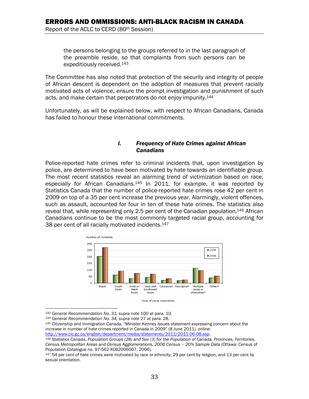the persons belonging to the groups referred to in the last paragraph of the preamble reside, so that complaints from such persons can be expeditiously received.143

The Committee has also noted that protection of the security and integrity of people of African descent is dependent on the adoption of measures that prevent racially motivated acts of violence, ensure the prompt investigation and punishment of such acts, and make certain that perpetrators do not enjoy impunity.<sup>144</sup>

Unfortunately, as will be explained below, with respect to African Canadians, Canada has failed to honour these international commitments.

#### *i. Frequency of Hate Crimes against African Canadians*

Police-reported hate crimes refer to criminal incidents that, upon investigation by police, are determined to have been motivated by hate towards an identifiable group. The most recent statistics reveal an alarming trend of victimization based on race, especially for African Canadians.<sup>145</sup> In 2011, for example, it was reported by Statistics Canada that the number of police-reported hate crimes rose 42 per cent in 2009 on top of a 35 per cent increase the previous year. Alarmingly, violent offences, such as assault, accounted for four in ten of these hate crimes. The statistics also reveal that, while representing only 2.5 per cent of the Canadian population,146 African Canadians continue to be the most commonly targeted racial group, accounting for 38 per cent of all racially motivated incidents.<sup>147</sup>



 $\overline{a}$ 

<sup>&</sup>lt;sup>143</sup> General Recommendation No. 31, supra note 100 at para. 10.<br><sup>144</sup> General Recommendation No. 34, supra note 27 at para. 28.<br><sup>145</sup> Citizenship and Immigration Canada, "Minister Kenney issues statement expressing concer increase in number of hate crimes reported in Canada in 2009" (8 June 2011), online:<br>http://www.cic.gc.ca/english/department/media/statements/2011/2011-06-08.asp.

<sup>&</sup>lt;sup>146</sup> Statistics Canada, Population Groups (28) and Sex (3) for the Population of Canada, Provinces, Territories, *Census Metropolitan Areas and Census Agglomerations, 2006 Census – 20% Sample Data* (Ottawa: Census of Population Catalogue no. 97-562-XCB2006007, 2006).

<sup>147 54</sup> per cent of hate crimes were motivated by race or ethnicity, 29 per cent by religion, and 13 per cent by sexual orientation.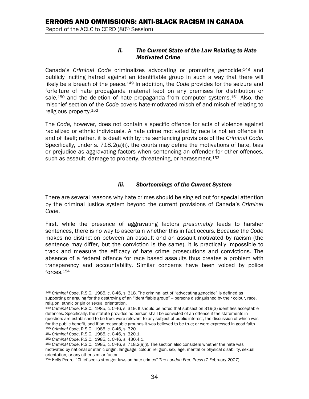#### *ii. The Current State of the Law Relating to Hate Motivated Crime*

Canada's *Criminal Code* criminalizes advocating or promoting genocide;148 and publicly inciting hatred against an identifiable group in such a way that there will likely be a breach of the peace.149 In addition, the *Code* provides for the seizure and forfeiture of hate propaganda material kept on any premises for distribution or sale.<sup>150</sup> and the deletion of hate propaganda from computer systems.<sup>151</sup> Also, the mischief section of the *Code* covers hate-motivated mischief and mischief relating to religious property.152

The *Code*, however, does not contain a specific offence for acts of violence against racialized or ethnic individuals. A hate crime motivated by race is not an offence in and of itself; rather, it is dealt with by the sentencing provisions of the *Criminal Code*. Specifically, under s.  $718.2(a)(i)$ , the courts may define the motivations of hate, bias or prejudice as aggravating factors when sentencing an offender for other offences, such as assault, damage to property, threatening, or harassment.<sup>153</sup>

#### *iii. Shortcomings of the Current System*

There are several reasons why hate crimes should be singled out for special attention by the criminal justice system beyond the current provisions of Canada's *Criminal Code*.

First, while the presence of aggravating factors *presumably* leads to harsher sentences, there is no way to ascertain whether this in fact occurs. Because the *Code* makes no distinction between an assault and an assault motivated by racism (the sentence may differ, but the conviction is the same), it is practically impossible to track and measure the efficacy of hate crime prosecutions and convictions. The absence of a federal offence for race based assaults thus creates a problem with transparency and accountability. Similar concerns have been voiced by police forces.154

<sup>1</sup> <sup>148</sup> *Criminal Code*, R.S.C., 1985, c. C-46, s. 318. The criminal act of "advocating genocide" is defined as supporting or arguing for the destroving of an "identifiable group" -- persons distinguished by their colour, race, religion, ethnic origin or sexual orientation.

<sup>149</sup> *Criminal Code*, R.S.C., 1985, c. C-46, s. 319. It should be noted that subsection 319(3) identifies acceptable defences. Specifically, the statute provides no person shall be convicted of an offence if the statements in question: are established to be true; were relevant to any subject of public interest, the discussion of which was for the public benefit, and if on reasonable grounds it was believed to be true; or were expressed in good faith.<br><sup>150</sup> Criminal Code, R.S.C., 1985, c. C-46, s. 320.

<sup>&</sup>lt;sup>151</sup> Criminal Code, R.S.C., 1985, c. C-46, s. 320.1.<br><sup>152</sup> Criminal Code, R.S.C., 1985, c. C-46, s. 430.4.1.<br><sup>153</sup> Criminal Code, R.S.C., 1985, c. C-46, s. 718.2(a)(i). The section also considers whether the hate was motivated by national or ethnic origin, language, colour, religion, sex, age, mental or physical disability, sexual orientation, or any other similar factor.

<sup>154</sup> Kelly Pedro, "Chief seeks stronger laws on hate crimes" *The London Free Press* (7 February 2007).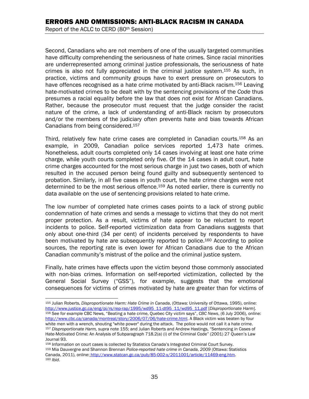Second, Canadians who are not members of one of the usually targeted communities have difficulty comprehending the seriousness of hate crimes. Since racial minorities are underrepresented among criminal justice professionals, the seriousness of hate crimes is also not fully appreciated in the criminal justice system.155 As such, in practice, victims and community groups have to exert pressure on prosecutors to have offences recognised as a hate crime motivated by anti-Black racism.<sup>156</sup> Leaving hate-motivated crimes to be dealt with by the sentencing provisions of the *Code* thus presumes a racial equality before the law that does not exist for African Canadians. Rather, because the prosecutor must request that the judge consider the racist nature of the crime, a lack of understanding of anti-Black racism by prosecutors and/or the members of the judiciary often prevents hate and bias towards African Canadians from being considered.157

Third, relatively few hate crime cases are completed in Canadian courts.<sup>158</sup> As an example, in 2009, Canadian police services reported 1,473 hate crimes. Nonetheless, adult courts completed only 14 cases involving at least one hate crime charge, while youth courts completed only five. Of the 14 cases in adult court, hate crime charges accounted for the most serious charge in just two cases, both of which resulted in the accused person being found guilty and subsequently sentenced to probation. Similarly, in all five cases in youth court, the hate crime charges were not determined to be the most serious offence.<sup>159</sup> As noted earlier, there is currently no data available on the use of sentencing provisions related to hate crime.

The low number of completed hate crimes cases points to a lack of strong public condemnation of hate crimes and sends a message to victims that they do not merit proper protection. As a result, victims of hate appear to be reluctant to report incidents to police. Self-reported victimization data from Canadians suggests that only about one-third (34 per cent) of incidents perceived by respondents to have been motivated by hate are subsequently reported to police.<sup>160</sup> According to police sources, the reporting rate is even lower for African Canadians due to the African Canadian community's mistrust of the police and the criminal justice system.

Finally, hate crimes have effects upon the victim beyond those commonly associated with non-bias crimes. Information on self-reported victimization, collected by the General Social Survey ("GSS"), for example, suggests that the emotional consequences for victims of crimes motivated by hate are greater than for victims of

 $\overline{a}$ 155 Julian Roberts, *Disproportionate Harm: Hate Crime in Canada*, (Ottawa: University of Ottawa, 1995), online: 156 See for example CBC News, "Beating a hate crime, Quebec City victim says", CBC News, (6 July 2006), online:

http://www.cbc.ca/canada/montreal/story/2006/07/06/hate-crime.html. A Black victim was beaten by four<br>white men with a wrench, shouting "white power" during the attack. The police would not call it a hate crime. 157 Disproportionate Harm, supra note 155; and Julian Roberts and Andrew Hastings, "Sentencing in Cases of Hate-Motivated Crime: An Analysis of Subparagraph 718.2(a) (i) of the Criminal Code" (2001) 27 Queen's Law Journal 93.

<sup>158</sup> Information on court cases is collected by Statistics Canada's Integrated Criminal Court Survey. 159 Mia Dauvergne and Shannon Brennan *Police-reported hate crime in Canada*, *2009* (Ottawa: Statistics Canada, 2011), online: http://www.statcan.gc.ca/pub/85-002-x/2011001/article/11469-eng.htm.<br><sup>160</sup> *Ibid.*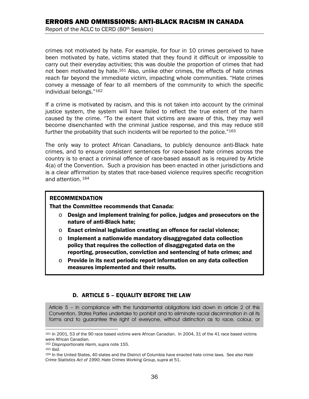crimes not motivated by hate. For example, for four in 10 crimes perceived to have been motivated by hate, victims stated that they found it difficult or impossible to carry out their everyday activities; this was double the proportion of crimes that had not been motivated by hate.161 Also, unlike other crimes, the effects of hate crimes reach far beyond the immediate victim, impacting whole communities. "Hate crimes convey a message of fear to all members of the community to which the specific individual belongs."162

If a crime is motivated by racism, and this is not taken into account by the criminal justice system, the system will have failed to reflect the true extent of the harm caused by the crime. "To the extent that victims are aware of this, they may well become disenchanted with the criminal justice response, and this may reduce still further the probability that such incidents will be reported to the police."163

The only way to protect African Canadians, to publicly denounce anti-Black hate crimes, and to ensure consistent sentences for race-based hate crimes across the country is to enact a criminal offence of race-based assault as is required by Article 4(a) of the Convention. Such a provision has been enacted in other jurisdictions and is a clear affirmation by states that race-based violence requires specific recognition and attention. 164

#### RECOMMENDATION

That the Committee recommends that Canada:

- $\circ$  Design and implement training for police, judges and prosecutors on the nature of anti-Black hate;
- o Enact criminal legislation creating an offence for racial violence;
- o Implement a nationwide mandatory disaggregated data collection policy that requires the collection of disaggregated data on the reporting, prosecution, conviction and sentencing of hate crimes; and
- $\circ$  Provide in its next periodic report information on any data collection measures implemented and their results.

# D. ARTICLE 5 – EQUALITY BEFORE THE LAW

Article 5 – In compliance with the fundamental obligations laid down in article 2 of this Convention, States Parties undertake to prohibit and to eliminate racial discrimination in all its forms and to guarantee the right of everyone, without distinction as to race, colour, or

I 161 In 2001, 53 of the 90 race based victims were African Canadian. In 2004, 31 of the 41 race based victims were African Canadian.

<sup>&</sup>lt;sup>162</sup> Disproportionate Harm, supra note 155.<br><sup>163</sup> Ibid.<br><sup>164</sup> In the United States, 40 states and the District of Columbia have enacted hate crime laws. See also *Hate Crime Statistics Act of 1990*; *Hate Crimes Working Group*, *supra* at 51.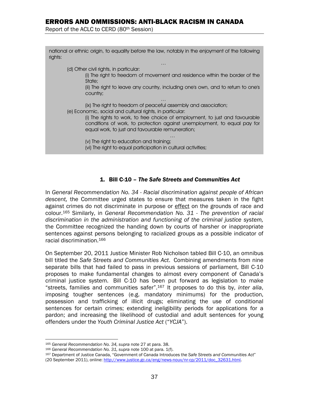# ERRORS AND OMMISSIONS: ANTI-BLACK RACISM IN CANADA

Report of the ACLC to CERD (80th Session)

national or ethnic origin, to equality before the law, notably in the enjoyment of the following rights:

…

(d) Other civil rights, in particular:

<u>.</u>

(i) The right to freedom of movement and residence within the border of the State;

(ii) The right to leave any country, including one's own, and to return to one's country;

… (ix) The right to freedom of peaceful assembly and association; (e) Economic, social and cultural rights, in particular:

> (i) The rights to work, to free choice of employment, to just and favourable conditions of work, to protection against unemployment, to equal pay for equal work, to just and favourable remuneration;

… (v) The right to education and training;

(vi) The right to equal participation in cultural activities;

#### 1. Bill C-10 – *The Safe Streets and Communities Act*

In *General Recommendation No. 34 - Racial discrimination against people of African descent,* the Committee urged states to ensure that measures taken in the fight against crimes do not discriminate in purpose or effect on the grounds of race and colour.165 Similarly, in *General Recommendation No. 31 - The prevention of racial discrimination in the administration and functioning of the criminal justice system,* the Committee recognized the handing down by courts of harsher or inappropriate sentences against persons belonging to racialized groups as a possible indicator of racial discrimination.166

On September 20, 2011 Justice Minister Rob Nicholson tabled Bill C-10, an omnibus bill titled the *Safe Streets and Communities Act*. Combining amendments from nine separate bills that had failed to pass in previous sessions of parliament, Bill C-10 proposes to make fundamental changes to almost every component of Canada's criminal justice system. Bill C-10 has been put forward as legislation to make "streets, families and communities safer".167 It proposes to do this by, *inter alia*, imposing tougher sentences (e.g. mandatory minimums) for the production, possession and trafficking of illicit drugs; eliminating the use of conditional sentences for certain crimes; extending ineligibility periods for applications for a pardon; and increasing the likelihood of custodial and adult sentences for young offenders under the *Youth Criminal Justice Act* ("*YCJA*").

<sup>&</sup>lt;sup>165</sup> General Recommendation No. 34, supra note 27 at para. 38.<br><sup>166</sup> General Recommendation No. 31, supra note 100 at para. 1(f).<br><sup>167</sup> Department of Justice Canada, "Government of Canada Introduces the Safe Streets and C (20 September 2011), online: http://www.justice.gc.ca/eng/news-nouv/nr-cp/2011/doc\_32631.html.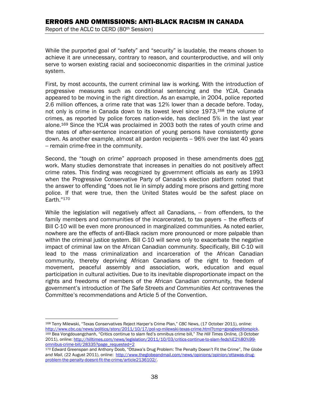While the purported goal of "safety" and "security" is laudable, the means chosen to achieve it are unnecessary, contrary to reason, and counterproductive, and will only serve to worsen existing racial and socioeconomic disparities in the criminal justice system.

First, by most accounts, the current criminal law is working. With the introduction of progressive measures such as conditional sentencing and the *YCJA*, Canada appeared to be moving in the right direction. As an example, in 2004, police reported 2.6 million offences, a crime rate that was 12% lower than a decade before. Today, not only is crime in Canada down to its lowest level since 1973,168 the volume of crimes, as reported by police forces nation-wide, has declined 5% in the last year alone.169 Since the *YCJA* was proclaimed in 2003 both the rates of youth crime and the rates of after-sentence incarceration of young persons have consistently gone down. As another example, almost all pardon recipients -- 96% over the last 40 years - remain crime-free in the community.

Second, the "tough on crime" approach proposed in these amendments does not work. Many studies demonstrate that increases in penalties do not positively affect crime rates. This finding was recognized by government officials as early as 1993 when the Progressive Conservative Party of Canada's election platform noted that the answer to offending "does not lie in simply adding more prisons and getting more police. If that were true, then the United States would be the safest place on Earth."170

While the legislation will negatively affect all Canadians, -- from offenders, to the family members and communities of the incarcerated, to tax payers – the effects of Bill C-10 will be even more pronounced in marginalized communities. As noted earlier, nowhere are the effects of anti-Black racism more pronounced or more palpable than within the criminal justice system. Bill C-10 will serve only to exacerbate the negative impact of criminal law on the African Canadian community. Specifically, Bill C-10 will lead to the mass criminalization and incarceration of the African Canadian community, thereby depriving African Canadians of the right to freedom of movement, peaceful assembly and association, work, education and equal participation in cultural activities. Due to its inevitable disproportionate impact on the rights and freedoms of members of the African Canadian community, the federal government's introduction of *The Safe Streets and Communities Act* contravenes the Committee's recommendations and Article 5 of the Convention.

<sup>1</sup> 168 Terry Milewski, "Texas Conservatives Reject Harper's Crime Plan," *CBC News*, (17 October 2011), online:<br>http://www.cbc.ca/news/politics/story/2011/10/17/pol-vp-milewski-texas-crime.html?cmp=googleeditorspick. <sup>169</sup> Bea Vongdouangchanh, "Critics continue to slam fed's omnibus crime bill," The Hill Times Online, (3 October 2011), online: http://hilltimes.com/news/legislation/2011/10/03/critics-continue-to-slam-feds%E2%80%99 omnibus-crime-bill/28335?page\_requested=2 170 Edward Greenspan and Anthony Doob, "Ottawa's Drug Problem: The Penalty Doesn't Fit the Crime", *The Globe* 

and Mail, (22 August 2011), online: http://www.theglobeandmail.com/news/opinions/opinion/ottawas-drugproblem-the-penalty-doesnt-fit-the-crime/article2136102/.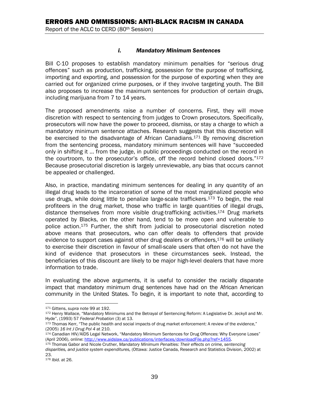#### *i. Mandatory Minimum Sentences*

Bill C-10 proposes to establish mandatory minimum penalties for "serious drug offences" such as production, trafficking, possession for the purpose of trafficking, importing and exporting, and possession for the purpose of exporting when they are carried out for organized crime purposes, or if they involve targeting youth. The Bill also proposes to increase the maximum sentences for production of certain drugs, including marijuana from 7 to 14 years.

The proposed amendments raise a number of concerns. First, they will move discretion with respect to sentencing from judges to Crown prosecutors. Specifically, prosecutors will now have the power to proceed, dismiss, or stay a charge to which a mandatory minimum sentence attaches. Research suggests that this discretion will be exercised to the disadvantage of African Canadians.<sup>171</sup> By removing discretion from the sentencing process, mandatory minimum sentences will have "succeeded only in shifting it … from the judge, in public proceedings conducted on the record in the courtroom, to the prosecutor's office, off the record behind closed doors."172 Because prosecutorial discretion is largely unreviewable, any bias that occurs cannot be appealed or challenged.

Also, in practice, mandating minimum sentences for dealing in any quantity of an illegal drug leads to the incarceration of some of the most marginalized people who use drugs, while doing little to penalize large-scale traffickers.<sup>173</sup> To begin, the real profiteers in the drug market, those who traffic in large quantities of illegal drugs, distance themselves from more visible drug-trafficking activities.174 Drug markets operated by Blacks, on the other hand, tend to be more open and vulnerable to police action.175 Further, the shift from judicial to prosecutorial discretion noted above means that prosecutors, who can offer deals to offenders that provide evidence to support cases against other drug dealers or offenders,  $176$  will be unlikely to exercise their discretion in favour of small-scale users that often do not have the kind of evidence that prosecutors in these circumstances seek. Instead, the beneficiaries of this discount are likely to be major high-level dealers that have more information to trade.

In evaluating the above arguments, it is useful to consider the racially disparate impact that mandatory minimum drug sentences have had on the African American community in the United States. To begin, it is important to note that, according to

<sup>171</sup> Gittens, supra note 99 at 192.

<sup>&</sup>lt;sup>172</sup> Henry Wallace, "Mandatory Minimums and the Betrayal of Sentencing Reform: A Legislative Dr. Jeckyll and Mr.<br>Hyde", (1993) 57 Federal Probation (3) at 13.

<sup>173</sup> Thomas Kerr, "The public health and social impacts of drug market enforcement: A review of the evidence," (2005) 16 Int J Drug Pol 4 at 210.<br><sup>174</sup> Canadian HIV/AIDS Legal Network, "Mandatory Minimum Sentences for Drug Offences: Why Everyone Loses"

<sup>(</sup>April 2006), online: http://www.aidslaw.ca/publications/interfaces/downloadFile.php?ref=1455.<br><sup>175</sup> Thomas Gabor and Nicole Cruther, *Mandatory Minimum Penalties: Their effects on crime, sentencing* 

*disparities, and justice system expenditures,* (Ottawa: Justice Canada, Research and Statistics Division, 2002) at 23.

<sup>176</sup> *Ibid.* at 26.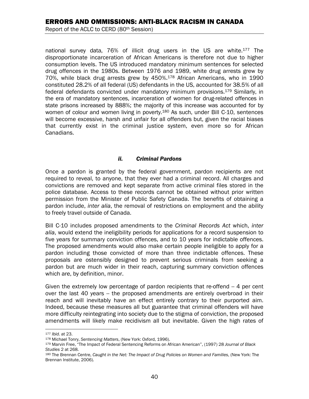# ERRORS AND OMMISSIONS: ANTI-BLACK RACISM IN CANADA

Report of the ACLC to CERD (80th Session)

national survey data, 76% of illicit drug users in the US are white.177 The disproportionate incarceration of African Americans is therefore not due to higher consumption levels. The US introduced mandatory minimum sentences for selected drug offences in the 1980s. Between 1976 and 1989, white drug arrests grew by 70%, while black drug arrests grew by 450%.178 African Americans, who in 1990 constituted 28.2% of all federal (US) defendants in the US, accounted for 38.5% of all federal defendants convicted under mandatory minimum provisions.179 Similarly, in the era of mandatory sentences, incarceration of women for drug-related offences in state prisons increased by 888%; the majority of this increase was accounted for by women of colour and women living in poverty.<sup>180</sup> As such, under Bill C-10, sentences will become excessive, harsh and unfair for all offenders but, given the racial biases that currently exist in the criminal justice system, even more so for African Canadians.

#### *ii. Criminal Pardons*

Once a pardon is granted by the federal government, pardon recipients are not required to reveal, to anyone, that they ever had a criminal record. All charges and convictions are removed and kept separate from active criminal files stored in the police database. Access to these records cannot be obtained without prior written permission from the Minister of Public Safety Canada. The benefits of obtaining a pardon include, *inter alia*, the removal of restrictions on employment and the ability to freely travel outside of Canada.

Bill C-10 includes proposed amendments to the *Criminal Records Act* which, *inter alia*, would extend the ineligibility periods for applications for a record suspension to five years for summary conviction offences, and to 10 years for indictable offences. The proposed amendments would also make certain people ineligible to apply for a pardon including those convicted of more than three indictable offences. These proposals are ostensibly designed to prevent serious criminals from seeking a pardon but are much wider in their reach, capturing summary conviction offences which are, by definition, minor.

Given the extremely low percentage of pardon recipients that re-offend  $-4$  per cent over the last 40 years -- the proposed amendments are entirely overbroad in their reach and will inevitably have an effect entirely contrary to their purported aim. Indeed, because these measures all but guarantee that criminal offenders will have more difficulty reintegrating into society due to the stigma of conviction, the proposed amendments will likely make recidivism all but inevitable. Given the high rates of

 $\overline{a}$ 

<sup>177</sup> *Ibid.* at 23. 178 Michael Tonry, *Sentencing Matters*, (New York: Oxford, 1996). 179 Marvin Free, "The Impact of Federal Sentencing Reforms on African American", (1997) 28 *Journal of Black Studies 2 at 268.*<br><sup>180</sup> The Brennan Centre, *Caught in the Net: The Impact of Drug Policies on Women and Families, (New York: The* 

Brennan Institute, 2006).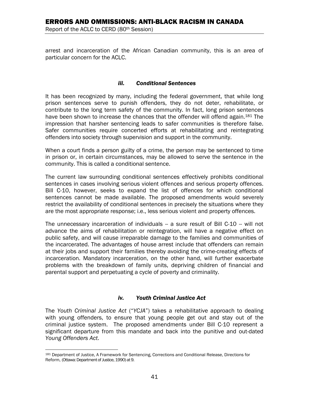arrest and incarceration of the African Canadian community, this is an area of particular concern for the ACLC.

#### *iii. Conditional Sentences*

It has been recognized by many, including the federal government, that while long prison sentences serve to punish offenders, they do not deter, rehabilitate, or contribute to the long term safety of the community. In fact, long prison sentences have been shown to increase the chances that the offender will offend again.<sup>181</sup> The impression that harsher sentencing leads to safer communities is therefore false. Safer communities require concerted efforts at rehabilitating and reintegrating offenders into society through supervision and support in the community.

When a court finds a person guilty of a crime, the person may be sentenced to time in prison or, in certain circumstances, may be allowed to serve the sentence in the community. This is called a conditional sentence.

The current law surrounding conditional sentences effectively prohibits conditional sentences in cases involving serious violent offences and serious property offences. Bill C-10, however, seeks to expand the list of offences for which conditional sentences cannot be made available. The proposed amendments would severely restrict the availability of conditional sentences in precisely the situations where they are the most appropriate response; i.e., less serious violent and property offences.

The unnecessary incarceration of individuals -- a sure result of Bill C-10 -- will not advance the aims of rehabilitation or reintegration, will have a negative effect on public safety, and will cause irreparable damage to the families and communities of the incarcerated. The advantages of house arrest include that offenders can remain at their jobs and support their families thereby avoiding the crime-creating effects of incarceration. Mandatory incarceration, on the other hand, will further exacerbate problems with the breakdown of family units, depriving children of financial and parental support and perpetuating a cycle of poverty and criminality.

#### *iv. Youth Criminal Justice Act*

The *Youth Criminal Justice Act* ("*YCJA*") takes a rehabilitative approach to dealing with young offenders, to ensure that young people get out and stay out of the criminal justice system. The proposed amendments under Bill C-10 represent a significant departure from this mandate and back into the punitive and out-dated *Young Offenders Act*.

 $\overline{a}$ 181 Department of Justice, A Framework for Sentencing, Corrections and Conditional Release, Directions for Reform, (Ottawa: Department of Justice, 1990) at 9.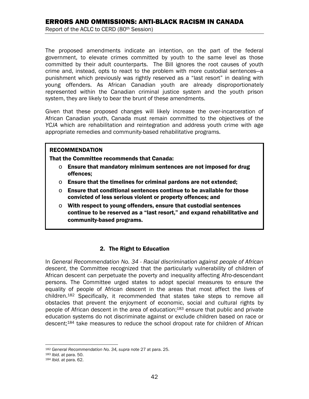The proposed amendments indicate an intention, on the part of the federal government, to elevate crimes committed by youth to the same level as those committed by their adult counterparts. The Bill ignores the root causes of youth crime and, instead, opts to react to the problem with more custodial sentences—a punishment which previously was rightly reserved as a "last resort" in dealing with young offenders. As African Canadian youth are already disproportionately represented within the Canadian criminal justice system and the youth prison system, they are likely to bear the brunt of these amendments.

Given that these proposed changes will likely increase the over-incarceration of African Canadian youth, Canada must remain committed to the objectives of the *YCJA* which are rehabilitation and reintegration and address youth crime with age appropriate remedies and community-based rehabilitative programs.

#### RECOMMENDATION

That the Committee recommends that Canada:

- o Ensure that mandatory minimum sentences are not imposed for drug offences;
- $\circ$  Ensure that the timelines for criminal pardons are not extended;
- $\circ$  Ensure that conditional sentences continue to be available for those convicted of less serious violent or property offences; and
- o With respect to young offenders, ensure that custodial sentences continue to be reserved as a "last resort," and expand rehabilitative and community-based programs.

# 2. The Right to Education

In *General Recommendation No. 34 - Racial discrimination against people of African descent*, the Committee recognized that the particularly vulnerability of children of African descent can perpetuate the poverty and inequality affecting Afro-descendant persons. The Committee urged states to adopt special measures to ensure the equality of people of African descent in the areas that most affect the lives of children.182 Specifically, it recommended that states take steps to remove all obstacles that prevent the enjoyment of economic, social and cultural rights by people of African descent in the area of education;<sup>183</sup> ensure that public and private education systems do not discriminate against or exclude children based on race or descent;184 take measures to reduce the school dropout rate for children of African

<sup>1</sup> <sup>182</sup> *General Recommendation No. 34, supra* note 27 at para. 25. 183 *Ibid.* at para. 50. 184 *Ibid.* at para. 62.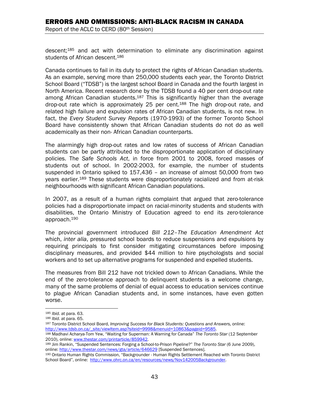descent;185 and act with determination to eliminate any discrimination against students of African descent.<sup>186</sup>

Canada continues to fail in its duty to protect the rights of African Canadian students. As an example, serving more than 250,000 students each year, the Toronto District School Board ("TDSB") is the largest school Board in Canada and the fourth largest in North America. Recent research done by the TDSB found a 40 per cent drop-out rate among African Canadian students.<sup>187</sup> This is significantly higher than the average drop-out rate which is approximately 25 per cent.188 The high drop-out rate, and related high failure and expulsion rates of African Canadian students, is not new. In fact, the *Every Student Survey Reports* (1970-1993) of the former Toronto School Board have consistently shown that African Canadian students do not do as well academically as their non- African Canadian counterparts.

The alarmingly high drop-out rates and low rates of success of African Canadian students can be partly attributed to the disproportionate application of disciplinary policies. The *Safe Schools Act*, in force from 2001 to 2008, forced masses of students out of school. In 2002-2003, for example, the number of students suspended in Ontario spiked to 157,436 – an increase of almost 50,000 from two years earlier.189 These students were disproportionately racialized and from at-risk neighbourhoods with significant African Canadian populations.

In 2007, as a result of a human rights complaint that argued that zero-tolerance policies had a disproportionate impact on racial-minority students and students with disabilities, the Ontario Ministry of Education agreed to end its zero-tolerance approach.190

The provincial government introduced *Bill 212–The Education Amendment Act* which, *inter alia*, pressured school boards to reduce suspensions and expulsions by requiring principals to first consider mitigating circumstances before imposing disciplinary measures, and provided \$44 million to hire psychologists and social workers and to set up alternative programs for suspended and expelled students.

The measures from Bill 212 have not trickled down to African Canadians. While the end of the zero-tolerance approach to delinquent students is a welcome change, many of the same problems of denial of equal access to education services continue to plague African Canadian students and, in some instances, have even gotten worse.

1

<sup>185</sup> *Ibid.* at para. 63. 186 *Ibid.* at para. 65. 187 Toronto District School Board, *Improving Success for Black Students: Questions and Answers,* online: http://www.tdsb.on.ca/\_site/viewItem.asp?siteid=9998&menuid=10863&pageid=9585. 188 Madhavi Acharya-Tom Yew, "Waiting for Superman: A Warning for Canada" *The Toronto Star* (12 September

<sup>2010),</sup> online: www.thestar.com/printarticle/859942.<br><sup>189</sup> Jim Rankin, "Suspended Sentences: Forging a School-to-Prison Pipeline?" *The Toronto Star* (6 June 2009),

online: <u>http://www.thestar.com/news/gta/article/646629</u> [Suspended Sentences].<br><sup>190</sup> Ontario Human Rights Commission, "Backgrounder - Human Rights Settlement Reached with Toronto District

School Board", online: http://www.ohrc.on.ca/en/resources/news/Nov142005Backgrounder.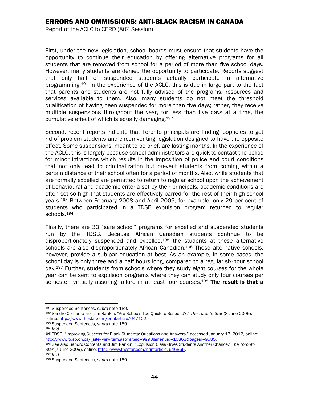First, under the new legislation, school boards must ensure that students have the opportunity to continue their education by offering alternative programs for all students that are removed from school for a period of more than five school days. However, many students are denied the opportunity to participate. Reports suggest that only half of suspended students actually participate in alternative programming.191 In the experience of the ACLC, this is due in large part to the fact that parents and students are not fully advised of the programs, resources and services available to them. Also, many students do not meet the threshold qualification of having been suspended for more than five days; rather, they receive multiple suspensions throughout the year, for less than five days at a time, the cumulative effect of which is equally damaging.192

Second, recent reports indicate that Toronto principals are finding loopholes to get rid of problem students and circumventing legislation designed to have the opposite effect. Some suspensions, meant to be brief, are lasting months. In the experience of the ACLC, this is largely because school administrators are quick to contact the police for minor infractions which results in the imposition of police and court conditions that not only lead to criminalization but prevent students from coming within a certain distance of their school often for a period of months. Also, while students that are formally expelled are permitted to return to regular school upon the achievement of behavioural and academic criteria set by their principals, academic conditions are often set so high that students are effectively barred for the rest of their high school years.193 Between February 2008 and April 2009, for example, only 29 per cent of students who participated in a TDSB expulsion program returned to regular schools.194

Finally, there are 33 "safe school" programs for expelled and suspended students run by the TDSB. Because African Canadian students continue to be disproportionately suspended and expelled,<sup>195</sup> the students at these alternative schools are also disproportionately African Canadian.<sup>196</sup> These alternative schools, however, provide a sub-par education at best. As an example, in some cases, the school day is only three and a half hours long, compared to a regular six-hour school day.197 Further, students from schools where they study eight courses for the whole year can be sent to expulsion programs where they can study only four courses per semester, virtually assuring failure in at least four courses.<sup>198</sup> The result is that a

<sup>1</sup> 

<sup>&</sup>lt;sup>191</sup> Suspended Sentences, *supra* note 189.<br><sup>192</sup> Sandro Contenta and Jim Rankin, "Are Schools Too Quick to Suspend?," *The Toronto Star* (8 June 2009), online: http://www.thestar.com/printarticle/647102.

<sup>193</sup> Suspended Sentences, *supra* note 189. 194 *Ibid.*

<sup>195</sup> TDSB, "Improving Success for Black Students: Questions and Answers," accessed January 13, 2012, online: http://www.tdsb.on.ca/\_site/viewItem.asp?siteid=9998&menuid=10863&pageid=9585.<br><sup>196</sup> See also Sandro Contenta and Jim Rankin, "Expulsion Class Gives Students Another Chance," *The Toronto* 

*Star* (7 June 2009), online: http://www.thestar.com/printarticle/646865. 197 *Ibid*. 198 Suspended Sentences, *supra* note 189.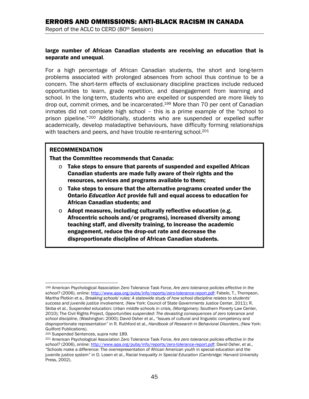large number of African Canadian students are receiving an education that is separate and unequal.

For a high percentage of African Canadian students, the short and long-term problems associated with prolonged absences from school thus continue to be a concern. The short-term effects of exclusionary discipline practices include reduced opportunities to learn, grade repetition, and disengagement from learning and school. In the long-term, students who are expelled or suspended are more likely to drop out, commit crimes, and be incarcerated.199 More than 70 per cent of Canadian inmates did not complete high school – this is a prime example of the "school to prison pipeline."200 Additionally, students who are suspended or expelled suffer academically, develop maladaptive behaviours, have difficulty forming relationships with teachers and peers, and have trouble re-entering school.<sup>201</sup>

#### RECOMMENDATION

That the Committee recommends that Canada:

- $\circ$  Take steps to ensure that parents of suspended and expelled African Canadian students are made fully aware of their rights and the resources, services and programs available to them;
- $\circ$  Take steps to ensure that the alternative programs created under the Ontario *Education Act* provide full and equal access to education for African Canadian students; and
- $\circ$  Adopt measures, including culturally reflective education (e.g. Afrocentric schools and/or programs), increased diversity among teaching staff, and diversity training, to increase the academic engagement, reduce the drop-out rate and decrease the disproportionate discipline of African Canadian students.

 $\overline{a}$ 

<sup>199</sup> American Psychological Association Zero Tolerance Task Force, *Are zero tolerance policies effective in the school?* (2006), online: http://www.apa.org/pubs/info/reports/zero-tolerance-report.pdf; Fabelo, T., Thompson, Martha Plotkin et a., *Breaking schools' rules: A statewide study of how school discipline relates to students' success and juvenile justice involvement,* (New York: Council of State Governments Justice Center, 2011); R. Skiba et al., *Suspended education: Urban middle schools in crisis,* (Montgomery: Southern Poverty Law Center, 2010); The Civil Rights Project, *Opportunities suspended: The devasting consequences of zero tolerance and school discipline*, (Washington: 2000); David Osher et al., "Issues of cultural and linguistic competency and disproportionate representation" in R. Ruthford et al., *Handbook of Research in Behavioral Disorders*, (New York: Guilford Publications).

<sup>&</sup>lt;sup>200</sup> Suspended Sentences, *supra* note 189.<br><sup>201</sup> American Psychological Association Zero Tolerance Task Force. Are zero tolerance policies effective in the *school?* (2006), online: http://www.apa.org/pubs/info/reports/zero-tolerance-report.pdf; David Osher, et al., "Schools make a difference: The overrepresentation of African American youth in special education and the juvenile justice system" in D. Losen et al., *Racial Inequality in Special Education* (Cambridge: Harvard University Press, 2002).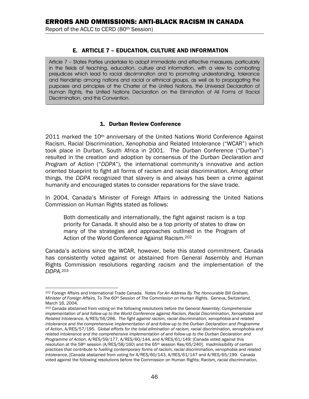#### E. ARTICLE 7 – EDUCATION, CULTURE AND INFORMATION

Article 7 – States Parties undertake to adopt immediate and effective measures, particularly in the fields of teaching, education, culture and information, with a view to combating prejudices which lead to racial discrimination and to promoting understanding, tolerance and friendship among nations and racial or ethnical groups, as well as to propagating the purposes and principles of the Charter of the United Nations, the Universal Declaration of Human Rights, the United Nations Declaration on the Elimination of All Forms of Racial Discrimination, and this Convention.

#### 1. Durban Review Conference

2011 marked the 10<sup>th</sup> anniversary of the United Nations World Conference Against Racism, Racial Discrimination, Xenophobia and Related Intolerance ("WCAR") which took place in Durban, South Africa in 2001. The Durban Conference ("Durban") resulted in the creation and adoption by consensus of the *Durban Declaration and Program of Action* ("*DDPA*"), the international community's innovative and action oriented blueprint to fight all forms of racism and racial discrimination. Among other things, the *DDPA* recognized that slavery is and always has been a crime against humanity and encouraged states to consider reparations for the slave trade.

In 2004, Canada's Minister of Foreign Affairs in addressing the United Nations Commission on Human Rights stated as follows:

Both domestically and internationally, the fight against racism is a top priority for Canada. It should also be a top priority of states to draw on many of the strategies and approaches outlined in the Program of Action of the World Conference Against Racism.202

Canada's actions since the WCAR, however, belie this stated commitment. Canada has consistently voted against or abstained from General Assembly and Human Rights Commission resolutions regarding racism and the implementation of the *DDPA*. 203

 $\overline{a}$ 202 Foreign Affairs and International Trade Canada. *Notes For An Address By The Honourable Bill Graham, Minister of Foreign Affairs, To The 60th Session of The Commission on Human Rights*. Geneva, Switzerland. March 16, 2004.

<sup>203</sup> Canada abstained from voting on the following resolutions before the General Assembly; *Comprehensive implementation of and follow-up to the World Conference against Racism, Racial Discrimination, Xenophobia and Related Intolerance*, A/RES/56/266. *The fight against racism, racial discrimination, xenophobia and related intolerance and the comprehensive implementation of and follow-up to the Durban Declaration and Programme of Action*, A/RES/57/195. *Global efforts for the total elimination of racism, racial discrimination, xenophobia and related intolerance and the comprehensive implementation of and follow-up to the Durban Declaration and Programme of Action*, A/RES/59/177, A/RES/60/144, and A/RES/61/149; [Canada voted against this resolution at the 58th session (A/RES/58/160) and the 65th session Res/65/240]. *Inadmissibility of certain practices that contribute to fuelling contemporary forms of racism, racial discrimination, xenophobia and related intolerance*, [Canada abstained from voting for A/RES/60/143, A/RES/61/147 and A/RES/65/199. Canada voted against the following resolutions before the Commission on Human Rights; *Racism, racial discrimination,*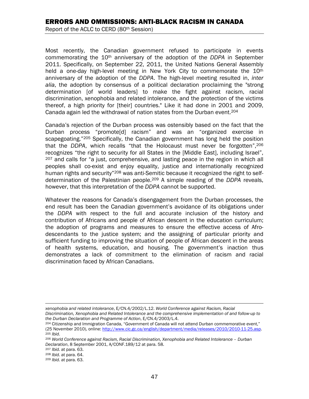# ERRORS AND OMMISSIONS: ANTI-BLACK RACISM IN CANADA

Report of the ACLC to CERD (80th Session)

Most recently, the Canadian government refused to participate in events commemorating the 10th anniversary of the adoption of the *DDPA* in September 2011. Specifically, on September 22, 2011, the United Nations General Assembly held a one-day high-level meeting in New York City to commemorate the 10<sup>th</sup> anniversary of the adoption of the *DDPA*. The high-level meeting resulted in, *inter alia*, the adoption by consensus of a political declaration proclaiming the "strong determination [of world leaders] to make the fight against racism, racial discrimination, xenophobia and related intolerance, and the protection of the victims thereof, a high priority for [their] countries." Like it had done in 2001 and 2009, Canada again led the withdrawal of nation states from the Durban event.204

Canada's rejection of the Durban process was ostensibly based on the fact that the Durban process "promote[d] racism" and was an "organized exercise in scapegoating."<sup>205</sup> Specifically, the Canadian government has long held the position that the *DDPA*, which recalls "that the Holocaust must never be forgotten",206 recognizes "the right to security for all States in the [Middle East], including Israel",  $207$  and calls for "a just, comprehensive, and lasting peace in the region in which all peoples shall co-exist and enjoy equality, justice and internationally recognized human rights and security"<sup>208</sup> was anti-Semitic because it recognized the right to selfdetermination of the Palestinian people.209 A simple reading of the *DDPA* reveals, however, that this interpretation of the *DDPA* cannot be supported.

Whatever the reasons for Canada's disengagement from the Durban processes, the end result has been the Canadian government's avoidance of its obligations under the *DDPA* with respect to the full and accurate inclusion of the history and contribution of Africans and people of African descent in the education curriculum; the adoption of programs and measures to ensure the effective access of Afrodescendants to the justice system; and the assigning of particular priority and sufficient funding to improving the situation of people of African descent in the areas of health systems, education, and housing. The government's inaction thus demonstrates a lack of commitment to the elimination of racism and racial discrimination faced by African Canadians.

 $\overline{a}$ *xenophobia and related intolerance*, E/CN.4/2002/L.12. *World Conference against Racism, Racial Discrimination, Xenophobia and Related Intolerance and the comprehensive implementation of and follow-up to* 

<sup>&</sup>lt;sup>204</sup> Citizenship and Immigration Canada, "Government of Canada will not attend Durban commemorative event," (25 November 2010), online: <u>http://www.cic.gc.ca/english/department/media/releases/2010/2010-11-25.asp</u>.<br><sup>205</sup> Ibid.<br><sup>206</sup> World Conference against Racism, Racial Discrimination, Xenophobia and Related Intolerance – Durba

*Declaration*, 8 September 2001, A/CONF.189/12 at para. 58. 207 *Ibid.* at para. 63. 208 *Ibid.* at para. 64. 209 *Ibid.* at para. 63.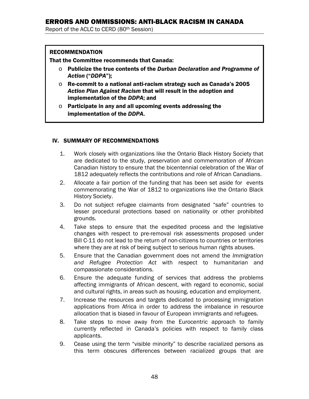#### RECOMMENDATION

That the Committee recommends that Canada:

- o Publicize the true contents of the *Durban Declaration and Programme of Action* ("*DDPA*");
- o Re-commit to a national anti-racism strategy such as Canada's 2005 *Action Plan Against Racism* that will result in the adoption and implementation of the *DDPA*; and
- $\circ$  Participate in any and all upcoming events addressing the implementation of the *DDPA*.

#### IV. SUMMARY OF RECOMMENDATIONS

- 1. Work closely with organizations like the Ontario Black History Society that are dedicated to the study, preservation and commemoration of African Canadian history to ensure that the bicentennial celebration of the War of 1812 adequately reflects the contributions and role of African Canadians.
- 2. Allocate a fair portion of the funding that has been set aside for events commemorating the War of 1812 to organizations like the Ontario Black History Society.
- 3. Do not subject refugee claimants from designated "safe" countries to lesser procedural protections based on nationality or other prohibited grounds.
- 4. Take steps to ensure that the expedited process and the legislative changes with respect to pre-removal risk assessments proposed under Bill C-11 do not lead to the return of non-citizens to countries or territories where they are at risk of being subject to serious human rights abuses.
- 5. Ensure that the Canadian government does not amend the *Immigration and Refugee Protection Act* with respect to humanitarian and compassionate considerations.
- 6. Ensure the adequate funding of services that address the problems affecting immigrants of African descent, with regard to economic, social and cultural rights, in areas such as housing, education and employment.
- 7. Increase the resources and targets dedicated to processing immigration applications from Africa in order to address the imbalance in resource allocation that is biased in favour of European immigrants and refugees.
- 8. Take steps to move away from the Eurocentric approach to family currently reflected in Canada's policies with respect to family class applicants.
- 9. Cease using the term "visible minority" to describe racialized persons as this term obscures differences between racialized groups that are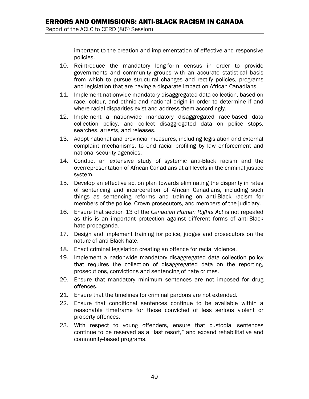important to the creation and implementation of effective and responsive policies.

- 10. Reintroduce the mandatory long-form census in order to provide governments and community groups with an accurate statistical basis from which to pursue structural changes and rectify policies, programs and legislation that are having a disparate impact on African Canadians.
- 11. Implement nationwide mandatory disaggregated data collection, based on race, colour, and ethnic and national origin in order to determine if and where racial disparities exist and address them accordingly.
- 12. Implement a nationwide mandatory disaggregated race-based data collection policy, and collect disaggregated data on police stops, searches, arrests, and releases.
- 13. Adopt national and provincial measures, including legislation and external complaint mechanisms, to end racial profiling by law enforcement and national security agencies.
- 14. Conduct an extensive study of systemic anti-Black racism and the overrepresentation of African Canadians at all levels in the criminal justice system.
- 15. Develop an effective action plan towards eliminating the disparity in rates of sentencing and incarceration of African Canadians, including such things as sentencing reforms and training on anti-Black racism for members of the police, Crown prosecutors, and members of the judiciary.
- 16. Ensure that section 13 of the *Canadian Human Rights Act* is not repealed as this is an important protection against different forms of anti-Black hate propaganda.
- 17. Design and implement training for police, judges and prosecutors on the nature of anti-Black hate.
- 18. Enact criminal legislation creating an offence for racial violence.
- 19. Implement a nationwide mandatory disaggregated data collection policy that requires the collection of disaggregated data on the reporting, prosecutions, convictions and sentencing of hate crimes.
- 20. Ensure that mandatory minimum sentences are not imposed for drug offences.
- 21. Ensure that the timelines for criminal pardons are not extended.
- 22. Ensure that conditional sentences continue to be available within a reasonable timeframe for those convicted of less serious violent or property offences.
- 23. With respect to young offenders, ensure that custodial sentences continue to be reserved as a "last resort," and expand rehabilitative and community-based programs.